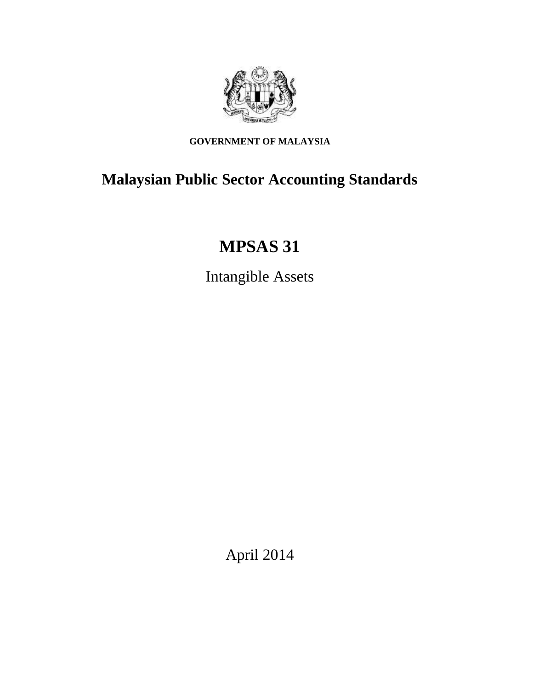

# **GOVERNMENT OF MALAYSIA**

# **Malaysian Public Sector Accounting Standards**

# **MPSAS 31**

Intangible Assets

April 2014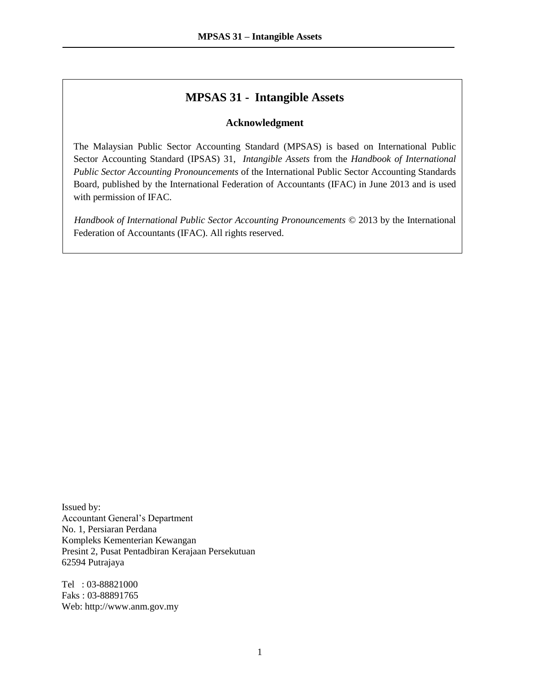# **MPSAS 31 - Intangible Assets**

#### **Acknowledgment**

The Malaysian Public Sector Accounting Standard (MPSAS) is based on International Public Sector Accounting Standard (IPSAS) 31, *Intangible Assets* from the *Handbook of International Public Sector Accounting Pronouncements* of the International Public Sector Accounting Standards Board, published by the International Federation of Accountants (IFAC) in June 2013 and is used with permission of IFAC.

*Handbook of International Public Sector Accounting Pronouncements* © 2013 by the International Federation of Accountants (IFAC). All rights reserved.

Issued by: Accountant General's Department No. 1, Persiaran Perdana Kompleks Kementerian Kewangan Presint 2, Pusat Pentadbiran Kerajaan Persekutuan 62594 Putrajaya

Tel : 03-88821000 Faks : 03-88891765 Web: http://www.anm.gov.my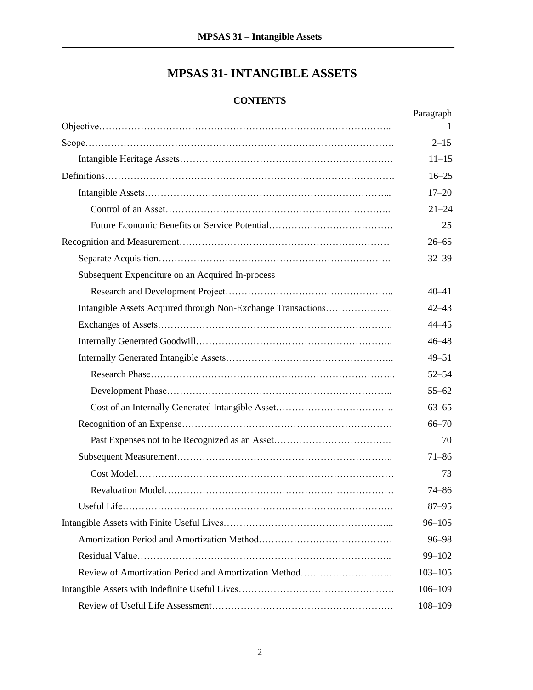# **MPSAS 31- INTANGIBLE ASSETS**

#### **CONTENTS**

|                                                              | Paragraph   |  |
|--------------------------------------------------------------|-------------|--|
|                                                              |             |  |
|                                                              | $2 - 15$    |  |
|                                                              | $11 - 15$   |  |
|                                                              | $16 - 25$   |  |
|                                                              | $17 - 20$   |  |
|                                                              | $21 - 24$   |  |
|                                                              | 25          |  |
|                                                              | $26 - 65$   |  |
|                                                              | $32 - 39$   |  |
| Subsequent Expenditure on an Acquired In-process             |             |  |
|                                                              | $40 - 41$   |  |
| Intangible Assets Acquired through Non-Exchange Transactions | $42 - 43$   |  |
|                                                              | $44 - 45$   |  |
|                                                              | $46 - 48$   |  |
|                                                              | $49 - 51$   |  |
|                                                              | $52 - 54$   |  |
|                                                              | $55 - 62$   |  |
|                                                              | $63 - 65$   |  |
|                                                              | $66 - 70$   |  |
|                                                              | 70          |  |
|                                                              | $71 - 86$   |  |
|                                                              | 73          |  |
|                                                              | $74 - 86$   |  |
|                                                              | $87 - 95$   |  |
|                                                              | $96 - 105$  |  |
|                                                              | 96-98       |  |
|                                                              | $99 - 102$  |  |
| Review of Amortization Period and Amortization Method        | $103 - 105$ |  |
|                                                              |             |  |
|                                                              | 108-109     |  |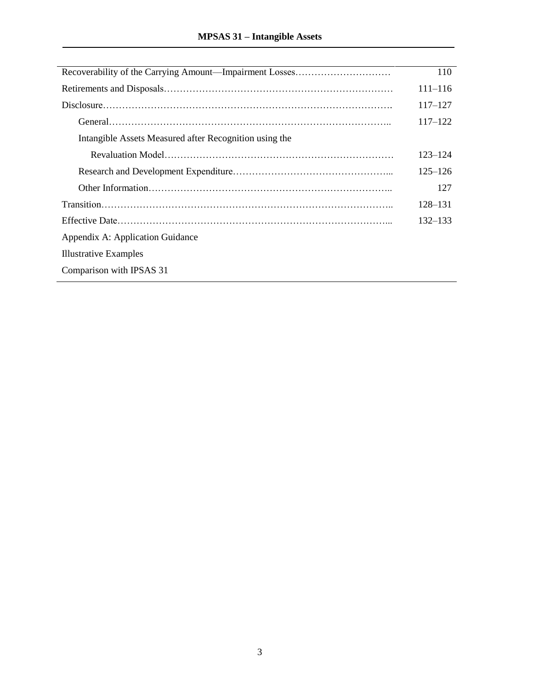|                                                        | 110         |  |  |
|--------------------------------------------------------|-------------|--|--|
|                                                        | $111 - 116$ |  |  |
|                                                        | $117 - 127$ |  |  |
|                                                        | $117 - 122$ |  |  |
| Intangible Assets Measured after Recognition using the |             |  |  |
|                                                        | 123–124     |  |  |
|                                                        | $125 - 126$ |  |  |
|                                                        | 127         |  |  |
|                                                        | 128–131     |  |  |
|                                                        | 132–133     |  |  |
| Appendix A: Application Guidance                       |             |  |  |
| <b>Illustrative Examples</b>                           |             |  |  |
| Comparison with IPSAS 31                               |             |  |  |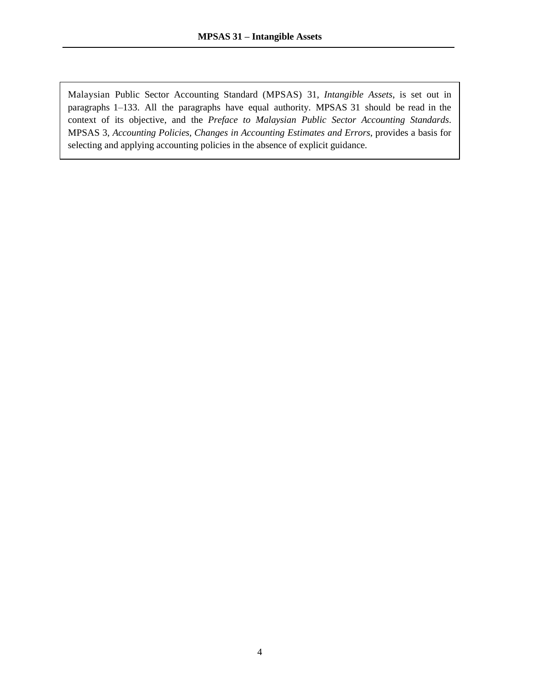Malaysian Public Sector Accounting Standard (MPSAS) 31, *Intangible Assets*, is set out in paragraphs 1–133. All the paragraphs have equal authority. MPSAS 31 should be read in the context of its objective, and the *Preface to Malaysian Public Sector Accounting Standards*. MPSAS 3, *Accounting Policies, Changes in Accounting Estimates and Errors*, provides a basis for selecting and applying accounting policies in the absence of explicit guidance.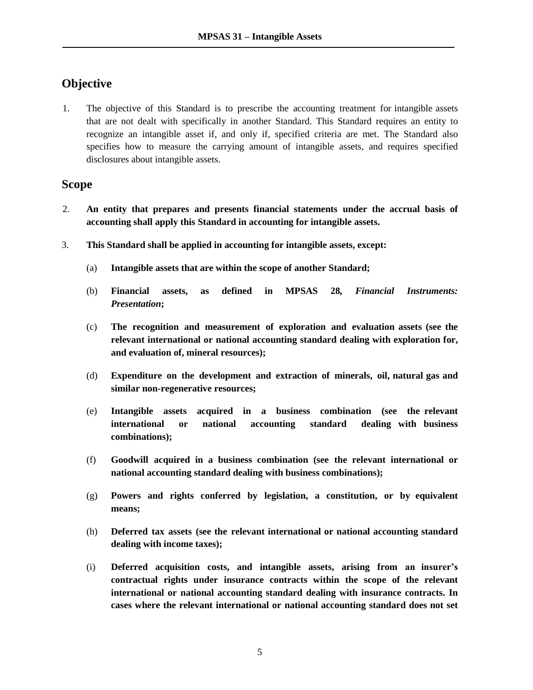# **Objective**

1. The objective of this Standard is to prescribe the accounting treatment for intangible assets that are not dealt with specifically in another Standard. This Standard requires an entity to recognize an intangible asset if, and only if, specified criteria are met. The Standard also specifies how to measure the carrying amount of intangible assets, and requires specified disclosures about intangible assets.

# **Scope**

- 2. **An entity that prepares and presents financial statements under the accrual basis of accounting shall apply this Standard in accounting for intangible assets.**
- 3. **This Standard shall be applied in accounting for intangible assets, except:**
	- (a) **Intangible assets that are within the scope of another Standard;**
	- (b) **Financial assets, as defined in MPSAS 28***, Financial Instruments: Presentation***;**
	- (c) **The recognition and measurement of exploration and evaluation assets (see the relevant international or national accounting standard dealing with exploration for, and evaluation of, mineral resources);**
	- (d) **Expenditure on the development and extraction of minerals, oil, natural gas and similar non-regenerative resources;**
	- (e) **Intangible assets acquired in a business combination (see the relevant international or national accounting standard dealing with business combinations);**
	- (f) **Goodwill acquired in a business combination (see the relevant international or national accounting standard dealing with business combinations);**
	- (g) **Powers and rights conferred by legislation, a constitution, or by equivalent means;**
	- (h) **Deferred tax assets (see the relevant international or national accounting standard dealing with income taxes);**
	- (i) **Deferred acquisition costs, and intangible assets, arising from an insurer's contractual rights under insurance contracts within the scope of the relevant international or national accounting standard dealing with insurance contracts. In cases where the relevant international or national accounting standard does not set**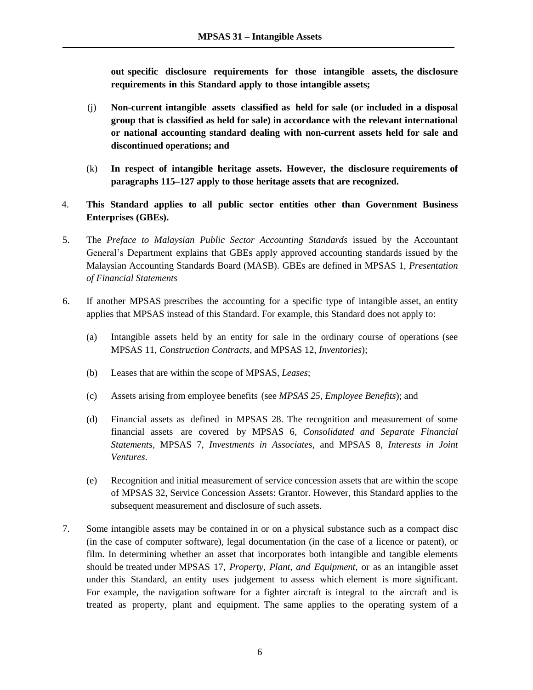**out specific disclosure requirements for those intangible assets, the disclosure requirements in this Standard apply to those intangible assets;**

- (j) **Non-current intangible assets classified as held for sale (or included in a disposal group that is classified as held for sale) in accordance with the relevant international or national accounting standard dealing with non-current assets held for sale and discontinued operations; and**
- (k) **In respect of intangible heritage assets. However, the disclosure requirements of paragraphs 115–127 apply to those heritage assets that are recognized.**
- 4. **This Standard applies to all public sector entities other than Government Business Enterprises (GBEs).**
- 5. The *Preface to Malaysian Public Sector Accounting Standards* issued by the Accountant General's Department explains that GBEs apply approved accounting standards issued by the Malaysian Accounting Standards Board (MASB). GBEs are defined in MPSAS 1, *Presentation of Financial Statements*
- 6. If another MPSAS prescribes the accounting for a specific type of intangible asset, an entity applies that MPSAS instead of this Standard. For example, this Standard does not apply to:
	- (a) Intangible assets held by an entity for sale in the ordinary course of operations (see MPSAS 11, *Construction Contracts*, and MPSAS 12, *Inventories*);
	- (b) Leases that are within the scope of MPSAS, *Leases*;
	- (c) Assets arising from employee benefits (see *MPSAS 25, Employee Benefits*); and
	- (d) Financial assets as defined in MPSAS 28. The recognition and measurement of some financial assets are covered by MPSAS 6, *Consolidated and Separate Financial Statements*, MPSAS 7, *Investments in Associates*, and MPSAS 8, *Interests in Joint Ventures*.
	- (e) Recognition and initial measurement of service concession assets that are within the scope of MPSAS 32, Service Concession Assets: Grantor. However, this Standard applies to the subsequent measurement and disclosure of such assets.
- 7. Some intangible assets may be contained in or on a physical substance such as a compact disc (in the case of computer software), legal documentation (in the case of a licence or patent), or film. In determining whether an asset that incorporates both intangible and tangible elements should be treated under MPSAS 17, *Property, Plant, and Equipment*, or as an intangible asset under this Standard, an entity uses judgement to assess which element is more significant. For example, the navigation software for a fighter aircraft is integral to the aircraft and is treated as property, plant and equipment. The same applies to the operating system of a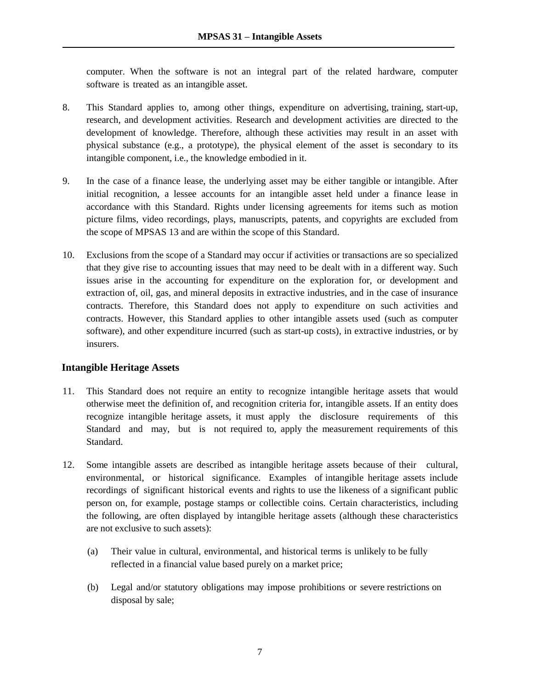computer. When the software is not an integral part of the related hardware, computer software is treated as an intangible asset.

- 8. This Standard applies to, among other things, expenditure on advertising, training, start-up, research, and development activities. Research and development activities are directed to the development of knowledge. Therefore, although these activities may result in an asset with physical substance (e.g., a prototype), the physical element of the asset is secondary to its intangible component, i.e., the knowledge embodied in it.
- 9. In the case of a finance lease, the underlying asset may be either tangible or intangible. After initial recognition, a lessee accounts for an intangible asset held under a finance lease in accordance with this Standard. Rights under licensing agreements for items such as motion picture films, video recordings, plays, manuscripts, patents, and copyrights are excluded from the scope of MPSAS 13 and are within the scope of this Standard.
- 10. Exclusions from the scope of a Standard may occur if activities or transactions are so specialized that they give rise to accounting issues that may need to be dealt with in a different way. Such issues arise in the accounting for expenditure on the exploration for, or development and extraction of, oil, gas, and mineral deposits in extractive industries, and in the case of insurance contracts. Therefore, this Standard does not apply to expenditure on such activities and contracts. However, this Standard applies to other intangible assets used (such as computer software), and other expenditure incurred (such as start-up costs), in extractive industries, or by insurers.

#### **Intangible Heritage Assets**

- 11. This Standard does not require an entity to recognize intangible heritage assets that would otherwise meet the definition of, and recognition criteria for, intangible assets. If an entity does recognize intangible heritage assets, it must apply the disclosure requirements of this Standard and may, but is not required to, apply the measurement requirements of this Standard.
- 12. Some intangible assets are described as intangible heritage assets because of their cultural, environmental, or historical significance. Examples of intangible heritage assets include recordings of significant historical events and rights to use the likeness of a significant public person on, for example, postage stamps or collectible coins. Certain characteristics, including the following, are often displayed by intangible heritage assets (although these characteristics are not exclusive to such assets):
	- (a) Their value in cultural, environmental, and historical terms is unlikely to be fully reflected in a financial value based purely on a market price;
	- (b) Legal and/or statutory obligations may impose prohibitions or severe restrictions on disposal by sale;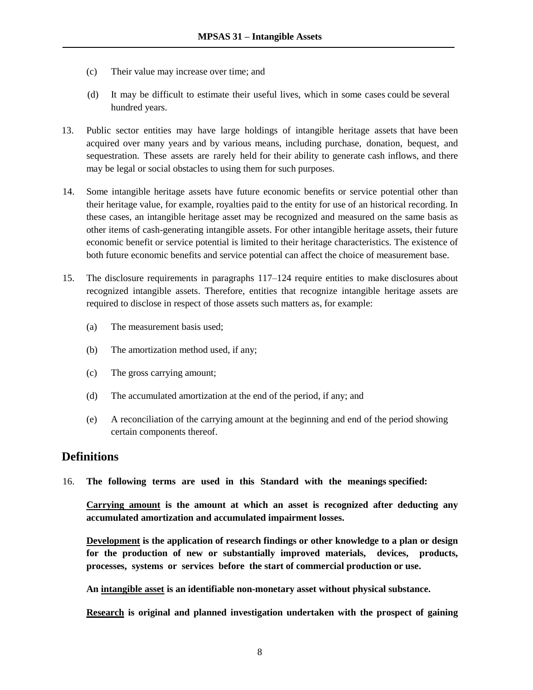- (c) Their value may increase over time; and
- (d) It may be difficult to estimate their useful lives, which in some cases could be several hundred years.
- 13. Public sector entities may have large holdings of intangible heritage assets that have been acquired over many years and by various means, including purchase, donation, bequest, and sequestration. These assets are rarely held for their ability to generate cash inflows, and there may be legal or social obstacles to using them for such purposes.
- 14. Some intangible heritage assets have future economic benefits or service potential other than their heritage value, for example, royalties paid to the entity for use of an historical recording. In these cases, an intangible heritage asset may be recognized and measured on the same basis as other items of cash-generating intangible assets. For other intangible heritage assets, their future economic benefit or service potential is limited to their heritage characteristics. The existence of both future economic benefits and service potential can affect the choice of measurement base.
- 15. The disclosure requirements in paragraphs 117–124 require entities to make disclosures about recognized intangible assets. Therefore, entities that recognize intangible heritage assets are required to disclose in respect of those assets such matters as, for example:
	- (a) The measurement basis used;
	- (b) The amortization method used, if any;
	- (c) The gross carrying amount;
	- (d) The accumulated amortization at the end of the period, if any; and
	- (e) A reconciliation of the carrying amount at the beginning and end of the period showing certain components thereof.

## **Definitions**

16. **The following terms are used in this Standard with the meanings specified:**

**Carrying amount is the amount at which an asset is recognized after deducting any accumulated amortization and accumulated impairment losses.**

**Development is the application of research findings or other knowledge to a plan or design for the production of new or substantially improved materials, devices, products, processes, systems or services before the start of commercial production or use.**

**An intangible asset is an identifiable non-monetary asset without physical substance.**

**Research is original and planned investigation undertaken with the prospect of gaining**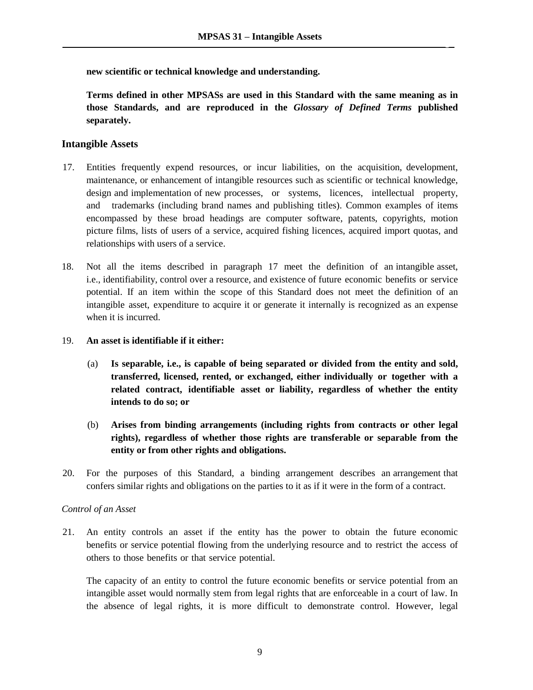**new scientific or technical knowledge and understanding.**

new scientific or technical knowledge and understanding.<br>Terms defined in other MPSASs are used in this Standard with the same meaning as in **those Standards, and are reproduced in the** *Glossary of Defined Terms* **published separately.**

CTOR

#### **Intangible Assets**

- 17. Entities frequently expend resources, or incur liabilities, on the acquisition, development, maintenance, or enhancement of intangible resources such as scientific or technical knowledge, design and implementation of new processes, or systems, licences, intellectual property, and trademarks (including brand names and publishing titles). Common examples of items encompassed by these broad headings are computer software, patents, copyrights, motion picture films, lists of users of a service, acquired fishing licences, acquired import quotas, and relationships with users of a service.
- 18. Not all the items described in paragraph 17 meet the definition of an intangible asset, i.e., identifiability, control over a resource, and existence of future economic benefits or service potential. If an item within the scope of this Standard does not meet the definition of an intangible asset, expenditure to acquire it or generate it internally is recognized as an expense when it is incurred.

#### 19. **An asset is identifiable if it either:**

- (a) **Is separable, i.e., is capable of being separated or divided from the entity and sold, transferred, licensed, rented, or exchanged, either individually or together with a related contract, identifiable asset or liability, regardless of whether the entity intends to do so; or**
- (b) **Arises from binding arrangements (including rights from contracts or other legal rights), regardless of whether those rights are transferable or separable from the entity or from other rights and obligations.**
- 20. For the purposes of this Standard, a binding arrangement describes an arrangement that confers similar rights and obligations on the parties to it as if it were in the form of a contract.

#### *Control of an Asset*

21. An entity controls an asset if the entity has the power to obtain the future economic benefits or service potential flowing from the underlying resource and to restrict the access of others to those benefits or that service potential.

The capacity of an entity to control the future economic benefits or service potential from an intangible asset would normally stem from legal rights that are enforceable in a court of law. In the absence of legal rights, it is more difficult to demonstrate control. However, legal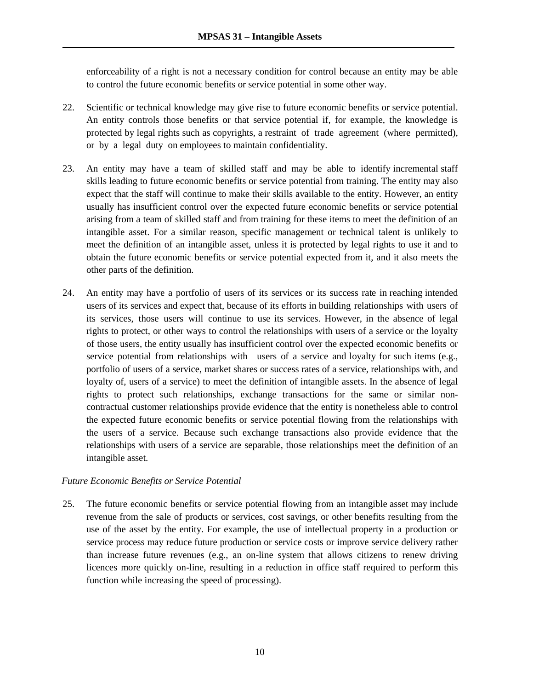enforceability of a right is not a necessary condition for control because an entity may be able to control the future economic benefits or service potential in some other way.

- 22. Scientific or technical knowledge may give rise to future economic benefits or service potential. An entity controls those benefits or that service potential if, for example, the knowledge is protected by legal rights such as copyrights, a restraint of trade agreement (where permitted), or by a legal duty on employees to maintain confidentiality.
- 23. An entity may have a team of skilled staff and may be able to identify incremental staff skills leading to future economic benefits or service potential from training. The entity may also expect that the staff will continue to make their skills available to the entity. However, an entity usually has insufficient control over the expected future economic benefits or service potential arising from a team of skilled staff and from training for these items to meet the definition of an intangible asset. For a similar reason, specific management or technical talent is unlikely to meet the definition of an intangible asset, unless it is protected by legal rights to use it and to obtain the future economic benefits or service potential expected from it, and it also meets the other parts of the definition.
- 24. An entity may have a portfolio of users of its services or its success rate in reaching intended users of its services and expect that, because of its efforts in building relationships with users of its services, those users will continue to use its services. However, in the absence of legal rights to protect, or other ways to control the relationships with users of a service or the loyalty of those users, the entity usually has insufficient control over the expected economic benefits or service potential from relationships with users of a service and loyalty for such items (e.g., portfolio of users of a service, market shares or success rates of a service, relationships with, and loyalty of, users of a service) to meet the definition of intangible assets. In the absence of legal rights to protect such relationships, exchange transactions for the same or similar noncontractual customer relationships provide evidence that the entity is nonetheless able to control the expected future economic benefits or service potential flowing from the relationships with the users of a service. Because such exchange transactions also provide evidence that the relationships with users of a service are separable, those relationships meet the definition of an intangible asset.

#### *Future Economic Benefits or Service Potential*

25. The future economic benefits or service potential flowing from an intangible asset may include revenue from the sale of products or services, cost savings, or other benefits resulting from the use of the asset by the entity. For example, the use of intellectual property in a production or service process may reduce future production or service costs or improve service delivery rather than increase future revenues (e.g., an on-line system that allows citizens to renew driving licences more quickly on-line, resulting in a reduction in office staff required to perform this function while increasing the speed of processing).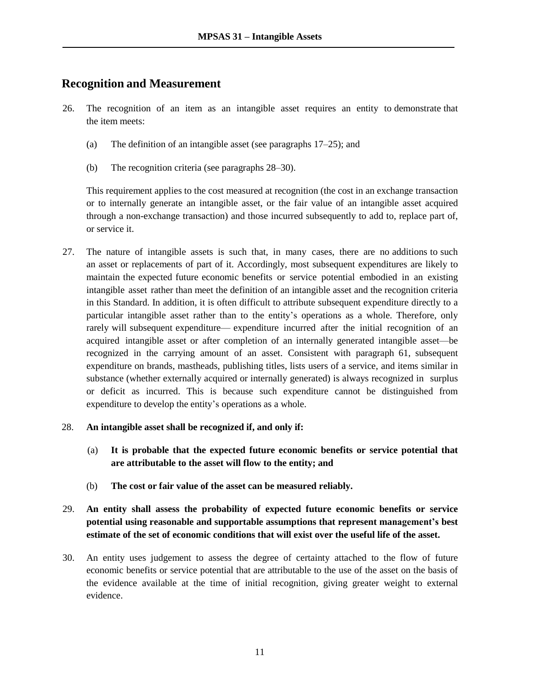# **Recognition and Measurement**

- 26. The recognition of an item as an intangible asset requires an entity to demonstrate that the item meets:
	- (a) The definition of an intangible asset (see paragraphs 17–25); and
	- (b) The recognition criteria (see paragraphs 28–30).

This requirement applies to the cost measured at recognition (the cost in an exchange transaction or to internally generate an intangible asset, or the fair value of an intangible asset acquired through a non-exchange transaction) and those incurred subsequently to add to, replace part of, or service it.

27. The nature of intangible assets is such that, in many cases, there are no additions to such an asset or replacements of part of it. Accordingly, most subsequent expenditures are likely to maintain the expected future economic benefits or service potential embodied in an existing intangible asset rather than meet the definition of an intangible asset and the recognition criteria in this Standard. In addition, it is often difficult to attribute subsequent expenditure directly to a particular intangible asset rather than to the entity's operations as a whole. Therefore, only rarely will subsequent expenditure— expenditure incurred after the initial recognition of an acquired intangible asset or after completion of an internally generated intangible asset—be recognized in the carrying amount of an asset. Consistent with paragraph 61, subsequent expenditure on brands, mastheads, publishing titles, lists users of a service, and items similar in substance (whether externally acquired or internally generated) is always recognized in surplus or deficit as incurred. This is because such expenditure cannot be distinguished from expenditure to develop the entity's operations as a whole.

#### 28. **An intangible asset shall be recognized if, and only if:**

- (a) **It is probable that the expected future economic benefits or service potential that are attributable to the asset will flow to the entity; and**
- (b) **The cost or fair value of the asset can be measured reliably.**

## 29. **An entity shall assess the probability of expected future economic benefits or service potential using reasonable and supportable assumptions that represent management's best estimate of the set of economic conditions that will exist over the useful life of the asset.**

30. An entity uses judgement to assess the degree of certainty attached to the flow of future economic benefits or service potential that are attributable to the use of the asset on the basis of the evidence available at the time of initial recognition, giving greater weight to external evidence.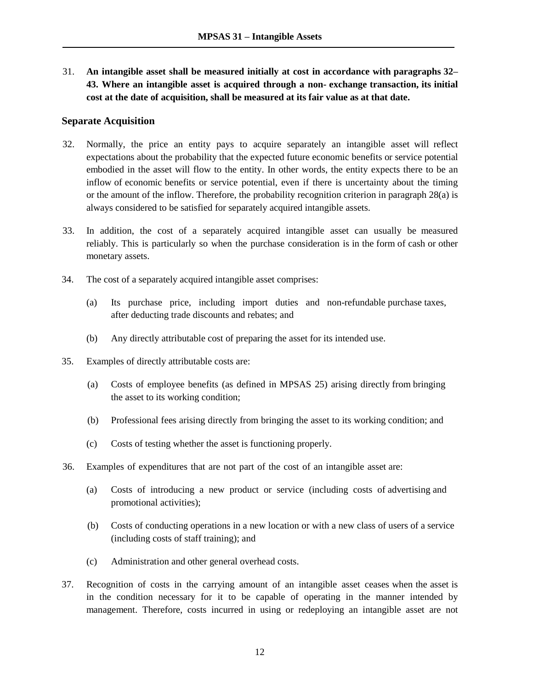31. **An intangible asset shall be measured initially at cost in accordance with paragraphs 32– 43. Where an intangible asset is acquired through a non- exchange transaction, its initial cost at the date of acquisition, shall be measured at its fair value as at that date.**

#### **Separate Acquisition**

- 32. Normally, the price an entity pays to acquire separately an intangible asset will reflect expectations about the probability that the expected future economic benefits or service potential embodied in the asset will flow to the entity. In other words, the entity expects there to be an inflow of economic benefits or service potential, even if there is uncertainty about the timing or the amount of the inflow. Therefore, the probability recognition criterion in paragraph 28(a) is always considered to be satisfied for separately acquired intangible assets.
- 33. In addition, the cost of a separately acquired intangible asset can usually be measured reliably. This is particularly so when the purchase consideration is in the form of cash or other monetary assets.
- 34. The cost of a separately acquired intangible asset comprises:
	- (a) Its purchase price, including import duties and non-refundable purchase taxes, after deducting trade discounts and rebates; and
	- (b) Any directly attributable cost of preparing the asset for its intended use.
- 35. Examples of directly attributable costs are:
	- (a) Costs of employee benefits (as defined in MPSAS 25) arising directly from bringing the asset to its working condition;
	- (b) Professional fees arising directly from bringing the asset to its working condition; and
	- (c) Costs of testing whether the asset is functioning properly.
- 36. Examples of expenditures that are not part of the cost of an intangible asset are:
	- (a) Costs of introducing a new product or service (including costs of advertising and promotional activities);
	- (b) Costs of conducting operations in a new location or with a new class of users of a service (including costs of staff training); and
	- (c) Administration and other general overhead costs.
- 37. Recognition of costs in the carrying amount of an intangible asset ceases when the asset is in the condition necessary for it to be capable of operating in the manner intended by management. Therefore, costs incurred in using or redeploying an intangible asset are not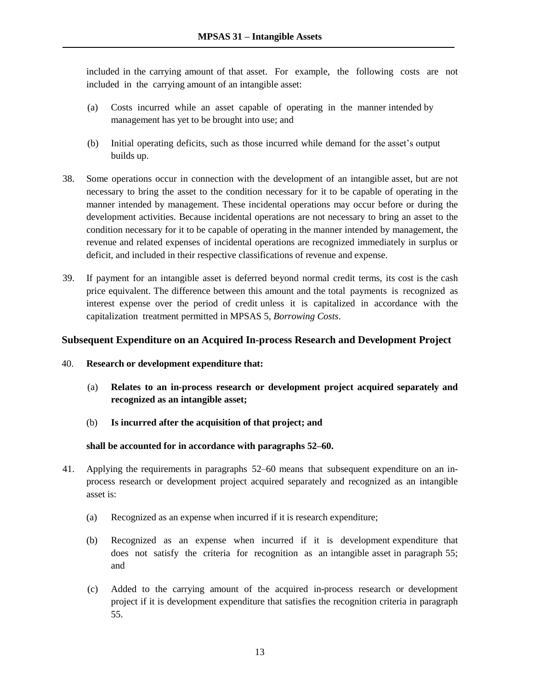included in the carrying amount of that asset. For example, the following costs are not included in the carrying amount of an intangible asset:

- (a) Costs incurred while an asset capable of operating in the manner intended by management has yet to be brought into use; and
- (b) Initial operating deficits, such as those incurred while demand for the asset's output builds up.
- 38. Some operations occur in connection with the development of an intangible asset, but are not necessary to bring the asset to the condition necessary for it to be capable of operating in the manner intended by management. These incidental operations may occur before or during the development activities. Because incidental operations are not necessary to bring an asset to the condition necessary for it to be capable of operating in the manner intended by management, the revenue and related expenses of incidental operations are recognized immediately in surplus or deficit, and included in their respective classifications of revenue and expense.
- 39. If payment for an intangible asset is deferred beyond normal credit terms, its cost is the cash price equivalent. The difference between this amount and the total payments is recognized as interest expense over the period of credit unless it is capitalized in accordance with the capitalization treatment permitted in MPSAS 5, *Borrowing Costs*.

#### **Subsequent Expenditure on an Acquired In-process Research and Development Project**

- 40. **Research or development expenditure that:**
	- (a) **Relates to an in-process research or development project acquired separately and recognized as an intangible asset;**
	- (b) **Is incurred after the acquisition of that project; and**

#### **shall be accounted for in accordance with paragraphs 52–60.**

- 41. Applying the requirements in paragraphs 52–60 means that subsequent expenditure on an inprocess research or development project acquired separately and recognized as an intangible asset is:
	- (a) Recognized as an expense when incurred if it is research expenditure;
	- (b) Recognized as an expense when incurred if it is development expenditure that does not satisfy the criteria for recognition as an intangible asset in paragraph 55; and
	- (c) Added to the carrying amount of the acquired in-process research or development project if it is development expenditure that satisfies the recognition criteria in paragraph 55.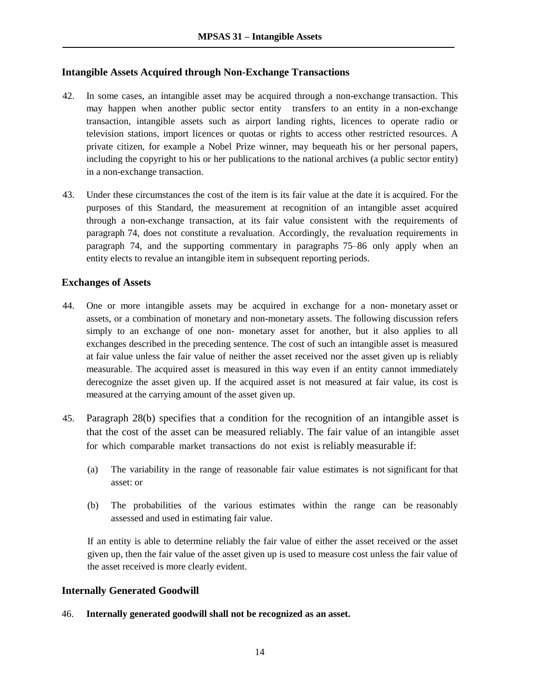#### **Intangible Assets Acquired through Non-Exchange Transactions**

- 42. In some cases, an intangible asset may be acquired through a non-exchange transaction. This may happen when another public sector entity transfers to an entity in a non-exchange transaction, intangible assets such as airport landing rights, licences to operate radio or television stations, import licences or quotas or rights to access other restricted resources. A private citizen, for example a Nobel Prize winner, may bequeath his or her personal papers, including the copyright to his or her publications to the national archives (a public sector entity) in a non-exchange transaction.
- 43. Under these circumstances the cost of the item is its fair value at the date it is acquired. For the purposes of this Standard, the measurement at recognition of an intangible asset acquired through a non-exchange transaction, at its fair value consistent with the requirements of paragraph 74, does not constitute a revaluation. Accordingly, the revaluation requirements in paragraph 74, and the supporting commentary in paragraphs 75–86 only apply when an entity elects to revalue an intangible item in subsequent reporting periods.

#### **Exchanges of Assets**

- 44. One or more intangible assets may be acquired in exchange for a non- monetary asset or assets, or a combination of monetary and non-monetary assets. The following discussion refers simply to an exchange of one non- monetary asset for another, but it also applies to all exchanges described in the preceding sentence. The cost of such an intangible asset is measured at fair value unless the fair value of neither the asset received nor the asset given up is reliably measurable. The acquired asset is measured in this way even if an entity cannot immediately derecognize the asset given up. If the acquired asset is not measured at fair value, its cost is measured at the carrying amount of the asset given up.
- 45. Paragraph 28(b) specifies that a condition for the recognition of an intangible asset is that the cost of the asset can be measured reliably. The fair value of an intangible asset for which comparable market transactions do not exist is reliably measurable if:
	- (a) The variability in the range of reasonable fair value estimates is not significant for that asset: or
	- (b) The probabilities of the various estimates within the range can be reasonably assessed and used in estimating fair value.

If an entity is able to determine reliably the fair value of either the asset received or the asset given up, then the fair value of the asset given up is used to measure cost unless the fair value of the asset received is more clearly evident.

#### **Internally Generated Goodwill**

46. **Internally generated goodwill shall not be recognized as an asset.**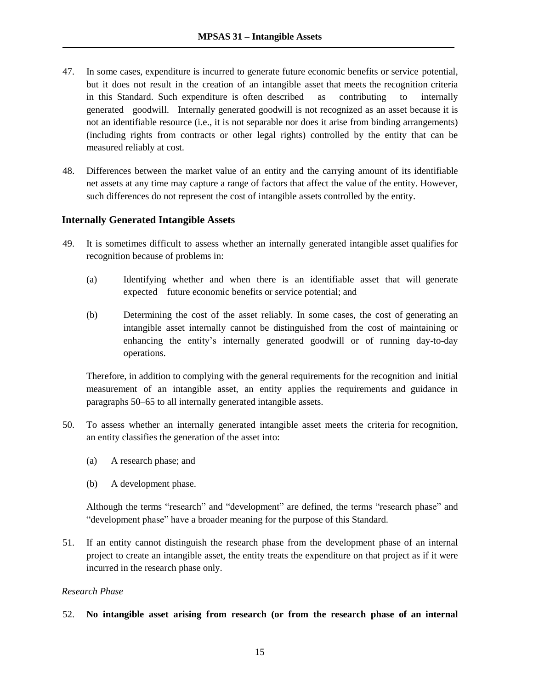- 47. In some cases, expenditure is incurred to generate future economic benefits or service potential, but it does not result in the creation of an intangible asset that meets the recognition criteria in this Standard. Such expenditure is often described as contributing to internally generated goodwill. Internally generated goodwill is not recognized as an asset because it is not an identifiable resource (i.e., it is not separable nor does it arise from binding arrangements) (including rights from contracts or other legal rights) controlled by the entity that can be measured reliably at cost.
- 48. Differences between the market value of an entity and the carrying amount of its identifiable net assets at any time may capture a range of factors that affect the value of the entity. However, such differences do not represent the cost of intangible assets controlled by the entity.

#### **Internally Generated Intangible Assets**

- 49. It is sometimes difficult to assess whether an internally generated intangible asset qualifies for recognition because of problems in:
	- (a) Identifying whether and when there is an identifiable asset that will generate expected future economic benefits or service potential; and
	- (b) Determining the cost of the asset reliably. In some cases, the cost of generating an intangible asset internally cannot be distinguished from the cost of maintaining or enhancing the entity's internally generated goodwill or of running day-to-day operations.

Therefore, in addition to complying with the general requirements for the recognition and initial measurement of an intangible asset, an entity applies the requirements and guidance in paragraphs 50–65 to all internally generated intangible assets.

- 50. To assess whether an internally generated intangible asset meets the criteria for recognition, an entity classifies the generation of the asset into:
	- (a) A research phase; and
	- (b) A development phase.

Although the terms "research" and "development" are defined, the terms "research phase" and "development phase" have a broader meaning for the purpose of this Standard.

51. If an entity cannot distinguish the research phase from the development phase of an internal project to create an intangible asset, the entity treats the expenditure on that project as if it were incurred in the research phase only.

#### *Research Phase*

52. **No intangible asset arising from research (or from the research phase of an internal**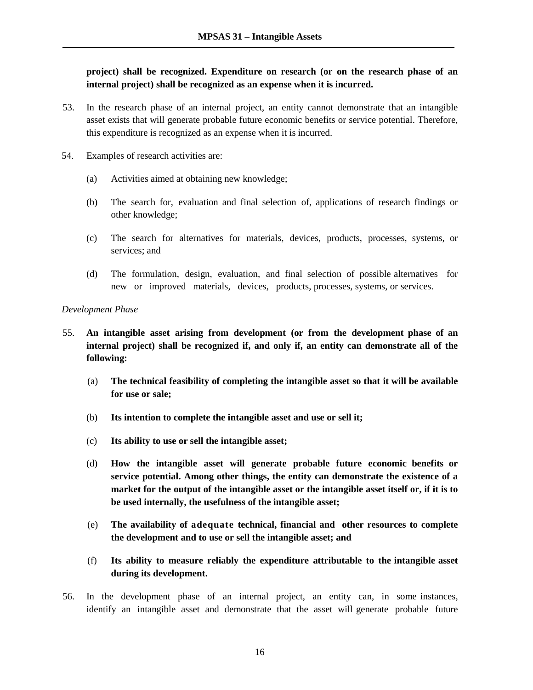**project) shall be recognized. Expenditure on research (or on the research phase of an internal project) shall be recognized as an expense when it is incurred.**

- 53. In the research phase of an internal project, an entity cannot demonstrate that an intangible asset exists that will generate probable future economic benefits or service potential. Therefore, this expenditure is recognized as an expense when it is incurred.
- 54. Examples of research activities are:
	- (a) Activities aimed at obtaining new knowledge;
	- (b) The search for, evaluation and final selection of, applications of research findings or other knowledge;
	- (c) The search for alternatives for materials, devices, products, processes, systems, or services; and
	- (d) The formulation, design, evaluation, and final selection of possible alternatives for new or improved materials, devices, products, processes, systems, or services.

#### *Development Phase*

- 55. **An intangible asset arising from development (or from the development phase of an internal project) shall be recognized if, and only if, an entity can demonstrate all of the following:**
	- (a) **The technical feasibility of completing the intangible asset so that it will be available for use or sale;**
	- (b) **Its intention to complete the intangible asset and use or sell it;**
	- (c) **Its ability to use or sell the intangible asset;**
	- (d) **How the intangible asset will generate probable future economic benefits or service potential. Among other things, the entity can demonstrate the existence of a market for the output of the intangible asset or the intangible asset itself or, if it is to be used internally, the usefulness of the intangible asset;**
	- (e) **The availability of adequate technical, financial and other resources to complete the development and to use or sell the intangible asset; and**
	- (f) **Its ability to measure reliably the expenditure attributable to the intangible asset during its development.**
- 56. In the development phase of an internal project, an entity can, in some instances, identify an intangible asset and demonstrate that the asset will generate probable future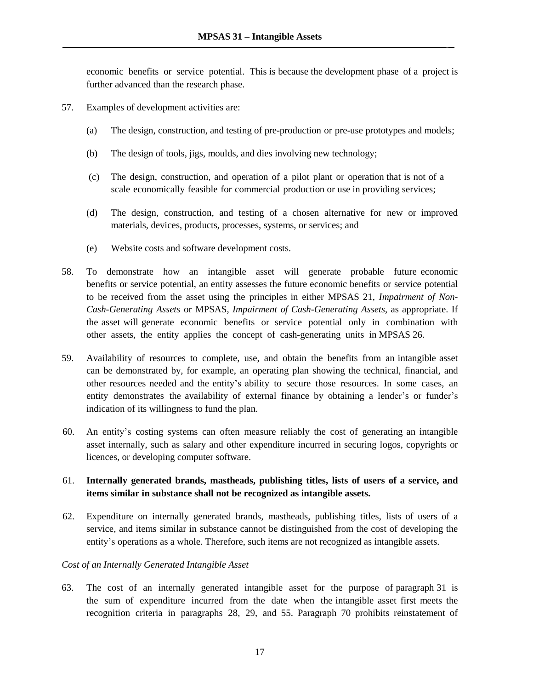$\mathfrak{c}$ t is economic benefits or service potential. This is because the development phase of a project is further advanced than the research phase.

CTOR

- 57. Examples of development activities are:
	- (a) The design, construction, and testing of pre-production or pre-use prototypes and models;
	- (b) The design of tools, jigs, moulds, and dies involving new technology;
	- (c) The design, construction, and operation of a pilot plant or operation that is not of a scale economically feasible for commercial production or use in providing services;
	- (d) The design, construction, and testing of a chosen alternative for new or improved materials, devices, products, processes, systems, or services; and
	- (e) Website costs and software development costs.
- 58. To demonstrate how an intangible asset will generate probable future economic benefits or service potential, an entity assesses the future economic benefits or service potential to be received from the asset using the principles in either MPSAS 21, *Impairment of Non-Cash-Generating Assets* or MPSAS, *Impairment of Cash-Generating Assets*, as appropriate. If the asset will generate economic benefits or service potential only in combination with other assets, the entity applies the concept of cash-generating units in MPSAS 26.
- 59. Availability of resources to complete, use, and obtain the benefits from an intangible asset can be demonstrated by, for example, an operating plan showing the technical, financial, and other resources needed and the entity's ability to secure those resources. In some cases, an entity demonstrates the availability of external finance by obtaining a lender's or funder's indication of its willingness to fund the plan.
- 60. An entity's costing systems can often measure reliably the cost of generating an intangible asset internally, such as salary and other expenditure incurred in securing logos, copyrights or licences, or developing computer software.

## 61. **Internally generated brands, mastheads, publishing titles, lists of users of a service, and items similar in substance shall not be recognized as intangible assets.**

62. Expenditure on internally generated brands, mastheads, publishing titles, lists of users of a service, and items similar in substance cannot be distinguished from the cost of developing the entity's operations as a whole. Therefore, such items are not recognized as intangible assets.

#### *Cost of an Internally Generated Intangible Asset*

63. The cost of an internally generated intangible asset for the purpose of paragraph 31 is the sum of expenditure incurred from the date when the intangible asset first meets the recognition criteria in paragraphs 28, 29, and 55. Paragraph 70 prohibits reinstatement of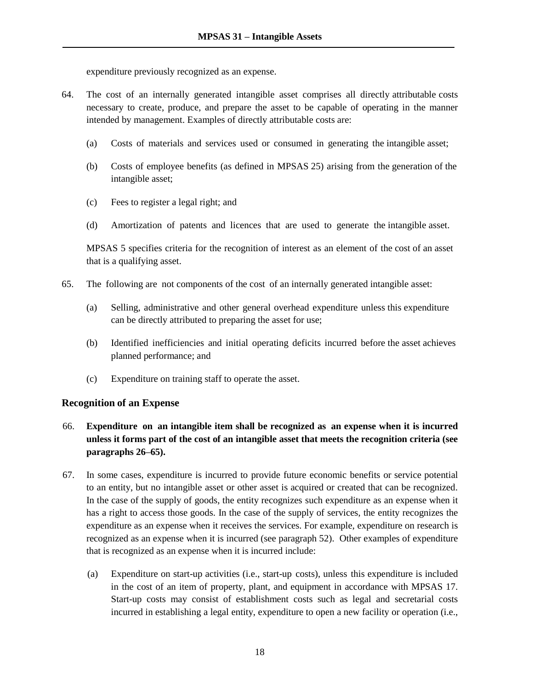expenditure previously recognized as an expense.

- 64. The cost of an internally generated intangible asset comprises all directly attributable costs necessary to create, produce, and prepare the asset to be capable of operating in the manner intended by management. Examples of directly attributable costs are:
	- (a) Costs of materials and services used or consumed in generating the intangible asset;
	- (b) Costs of employee benefits (as defined in MPSAS 25) arising from the generation of the intangible asset;
	- (c) Fees to register a legal right; and
	- (d) Amortization of patents and licences that are used to generate the intangible asset.

MPSAS 5 specifies criteria for the recognition of interest as an element of the cost of an asset that is a qualifying asset.

- 65. The following are not components of the cost of an internally generated intangible asset:
	- (a) Selling, administrative and other general overhead expenditure unless this expenditure can be directly attributed to preparing the asset for use;
	- (b) Identified inefficiencies and initial operating deficits incurred before the asset achieves planned performance; and
	- (c) Expenditure on training staff to operate the asset.

#### **Recognition of an Expense**

- 66. **Expenditure on an intangible item shall be recognized as an expense when it is incurred unless it forms part of the cost of an intangible asset that meets the recognition criteria (see paragraphs 26–65).**
- 67. In some cases, expenditure is incurred to provide future economic benefits or service potential to an entity, but no intangible asset or other asset is acquired or created that can be recognized. In the case of the supply of goods, the entity recognizes such expenditure as an expense when it has a right to access those goods. In the case of the supply of services, the entity recognizes the expenditure as an expense when it receives the services. For example, expenditure on research is recognized as an expense when it is incurred (see paragraph 52). Other examples of expenditure that is recognized as an expense when it is incurred include:
	- (a) Expenditure on start-up activities (i.e., start-up costs), unless this expenditure is included in the cost of an item of property, plant, and equipment in accordance with MPSAS 17. Start-up costs may consist of establishment costs such as legal and secretarial costs incurred in establishing a legal entity, expenditure to open a new facility or operation (i.e.,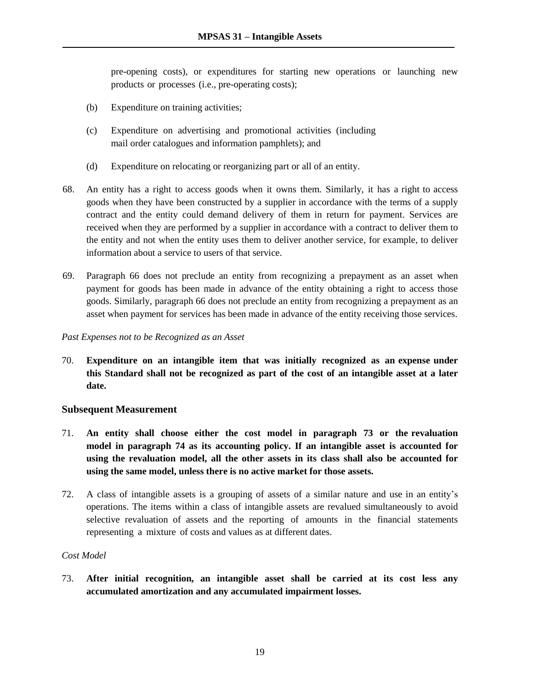pre-opening costs), or expenditures for starting new operations or launching new products or processes (i.e., pre-operating costs);

- (b) Expenditure on training activities;
- (c) Expenditure on advertising and promotional activities (including mail order catalogues and information pamphlets); and
- (d) Expenditure on relocating or reorganizing part or all of an entity.
- 68. An entity has a right to access goods when it owns them. Similarly, it has a right to access goods when they have been constructed by a supplier in accordance with the terms of a supply contract and the entity could demand delivery of them in return for payment. Services are received when they are performed by a supplier in accordance with a contract to deliver them to the entity and not when the entity uses them to deliver another service, for example, to deliver information about a service to users of that service.
- 69. Paragraph 66 does not preclude an entity from recognizing a prepayment as an asset when payment for goods has been made in advance of the entity obtaining a right to access those goods. Similarly, paragraph 66 does not preclude an entity from recognizing a prepayment as an asset when payment for services has been made in advance of the entity receiving those services.

#### *Past Expenses not to be Recognized as an Asset*

70. **Expenditure on an intangible item that was initially recognized as an expense under this Standard shall not be recognized as part of the cost of an intangible asset at a later date.**

#### **Subsequent Measurement**

- 71. **An entity shall choose either the cost model in paragraph 73 or the revaluation model in paragraph 74 as its accounting policy. If an intangible asset is accounted for using the revaluation model, all the other assets in its class shall also be accounted for using the same model, unless there is no active market for those assets.**
- 72. A class of intangible assets is a grouping of assets of a similar nature and use in an entity's operations. The items within a class of intangible assets are revalued simultaneously to avoid selective revaluation of assets and the reporting of amounts in the financial statements representing a mixture of costs and values as at different dates.

#### *Cost Model*

73. **After initial recognition, an intangible asset shall be carried at its cost less any accumulated amortization and any accumulated impairment losses.**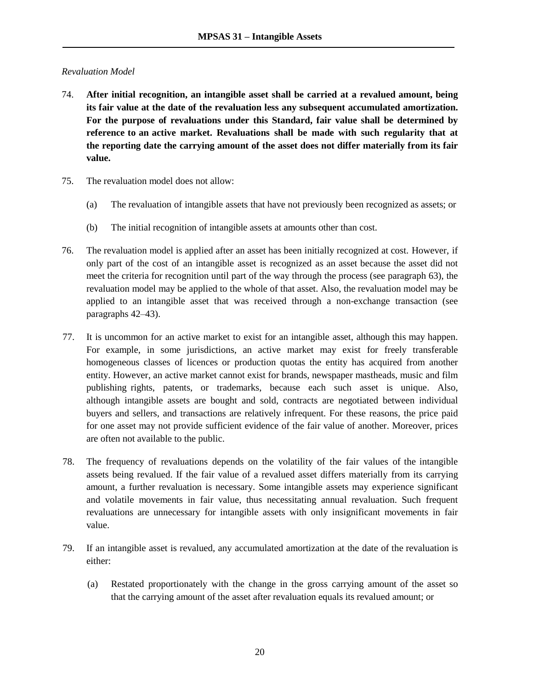#### *Revaluation Model*

- 74. **After initial recognition, an intangible asset shall be carried at a revalued amount, being its fair value at the date of the revaluation less any subsequent accumulated amortization. For the purpose of revaluations under this Standard, fair value shall be determined by reference to an active market. Revaluations shall be made with such regularity that at the reporting date the carrying amount of the asset does not differ materially from its fair value.**
- 75. The revaluation model does not allow:
	- (a) The revaluation of intangible assets that have not previously been recognized as assets; or
	- (b) The initial recognition of intangible assets at amounts other than cost.
- 76. The revaluation model is applied after an asset has been initially recognized at cost. However, if only part of the cost of an intangible asset is recognized as an asset because the asset did not meet the criteria for recognition until part of the way through the process (see paragraph 63), the revaluation model may be applied to the whole of that asset. Also, the revaluation model may be applied to an intangible asset that was received through a non-exchange transaction (see paragraphs 42–43).
- 77. It is uncommon for an active market to exist for an intangible asset, although this may happen. For example, in some jurisdictions, an active market may exist for freely transferable homogeneous classes of licences or production quotas the entity has acquired from another entity. However, an active market cannot exist for brands, newspaper mastheads, music and film publishing rights, patents, or trademarks, because each such asset is unique. Also, although intangible assets are bought and sold, contracts are negotiated between individual buyers and sellers, and transactions are relatively infrequent. For these reasons, the price paid for one asset may not provide sufficient evidence of the fair value of another. Moreover, prices are often not available to the public.
- 78. The frequency of revaluations depends on the volatility of the fair values of the intangible assets being revalued. If the fair value of a revalued asset differs materially from its carrying amount, a further revaluation is necessary. Some intangible assets may experience significant and volatile movements in fair value, thus necessitating annual revaluation. Such frequent revaluations are unnecessary for intangible assets with only insignificant movements in fair value.
- 79. If an intangible asset is revalued, any accumulated amortization at the date of the revaluation is either:
	- (a) Restated proportionately with the change in the gross carrying amount of the asset so that the carrying amount of the asset after revaluation equals its revalued amount; or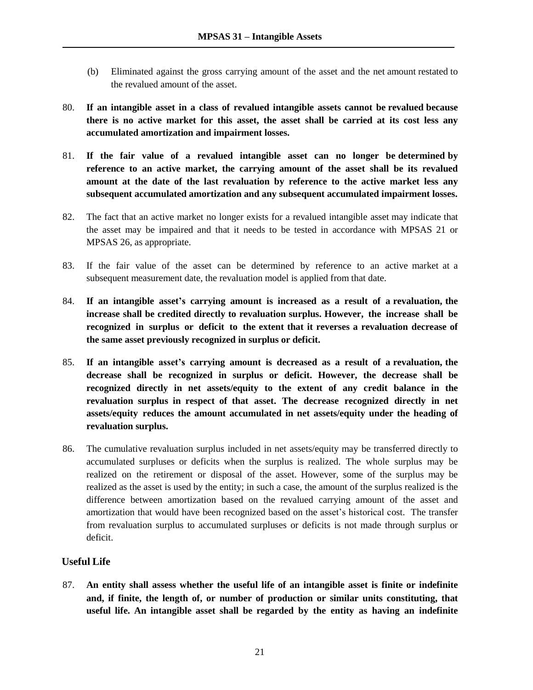- (b) Eliminated against the gross carrying amount of the asset and the net amount restated to the revalued amount of the asset.
- 80. **If an intangible asset in a class of revalued intangible assets cannot be revalued because there is no active market for this asset, the asset shall be carried at its cost less any accumulated amortization and impairment losses.**
- 81. **If the fair value of a revalued intangible asset can no longer be determined by reference to an active market, the carrying amount of the asset shall be its revalued amount at the date of the last revaluation by reference to the active market less any subsequent accumulated amortization and any subsequent accumulated impairment losses.**
- 82. The fact that an active market no longer exists for a revalued intangible asset may indicate that the asset may be impaired and that it needs to be tested in accordance with MPSAS 21 or MPSAS 26, as appropriate.
- 83. If the fair value of the asset can be determined by reference to an active market at a subsequent measurement date, the revaluation model is applied from that date.
- 84. **If an intangible asset's carrying amount is increased as a result of a revaluation, the increase shall be credited directly to revaluation surplus. However, the increase shall be recognized in surplus or deficit to the extent that it reverses a revaluation decrease of the same asset previously recognized in surplus or deficit.**
- 85. **If an intangible asset's carrying amount is decreased as a result of a revaluation, the decrease shall be recognized in surplus or deficit. However, the decrease shall be recognized directly in net assets/equity to the extent of any credit balance in the revaluation surplus in respect of that asset. The decrease recognized directly in net assets/equity reduces the amount accumulated in net assets/equity under the heading of revaluation surplus.**
- 86. The cumulative revaluation surplus included in net assets/equity may be transferred directly to accumulated surpluses or deficits when the surplus is realized. The whole surplus may be realized on the retirement or disposal of the asset. However, some of the surplus may be realized as the asset is used by the entity; in such a case, the amount of the surplus realized is the difference between amortization based on the revalued carrying amount of the asset and amortization that would have been recognized based on the asset's historical cost. The transfer from revaluation surplus to accumulated surpluses or deficits is not made through surplus or deficit.

#### **Useful Life**

87. **An entity shall assess whether the useful life of an intangible asset is finite or indefinite and, if finite, the length of, or number of production or similar units constituting, that useful life. An intangible asset shall be regarded by the entity as having an indefinite**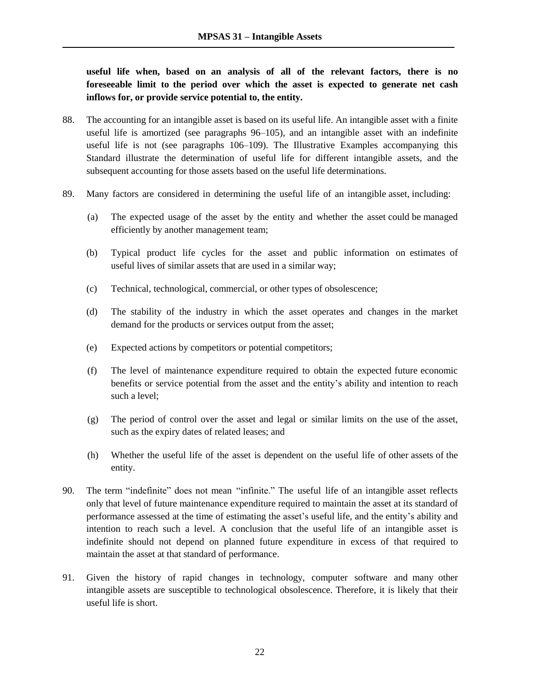**useful life when, based on an analysis of all of the relevant factors, there is no foreseeable limit to the period over which the asset is expected to generate net cash inflows for, or provide service potential to, the entity.**

- 88. The accounting for an intangible asset is based on its useful life. An intangible asset with a finite useful life is amortized (see paragraphs 96–105), and an intangible asset with an indefinite useful life is not (see paragraphs 106–109). The Illustrative Examples accompanying this Standard illustrate the determination of useful life for different intangible assets, and the subsequent accounting for those assets based on the useful life determinations.
- 89. Many factors are considered in determining the useful life of an intangible asset, including:
	- (a) The expected usage of the asset by the entity and whether the asset could be managed efficiently by another management team;
	- (b) Typical product life cycles for the asset and public information on estimates of useful lives of similar assets that are used in a similar way;
	- (c) Technical, technological, commercial, or other types of obsolescence;
	- (d) The stability of the industry in which the asset operates and changes in the market demand for the products or services output from the asset;
	- (e) Expected actions by competitors or potential competitors;
	- (f) The level of maintenance expenditure required to obtain the expected future economic benefits or service potential from the asset and the entity's ability and intention to reach such a level;
	- (g) The period of control over the asset and legal or similar limits on the use of the asset, such as the expiry dates of related leases; and
	- (h) Whether the useful life of the asset is dependent on the useful life of other assets of the entity.
- 90. The term "indefinite" does not mean "infinite." The useful life of an intangible asset reflects only that level of future maintenance expenditure required to maintain the asset at its standard of performance assessed at the time of estimating the asset's useful life, and the entity's ability and intention to reach such a level. A conclusion that the useful life of an intangible asset is indefinite should not depend on planned future expenditure in excess of that required to maintain the asset at that standard of performance.
- 91. Given the history of rapid changes in technology, computer software and many other intangible assets are susceptible to technological obsolescence. Therefore, it is likely that their useful life is short.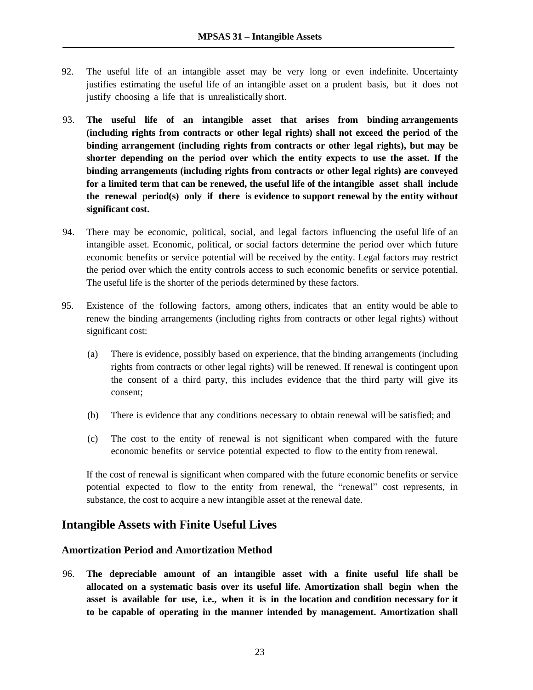- 92. The useful life of an intangible asset may be very long or even indefinite. Uncertainty justifies estimating the useful life of an intangible asset on a prudent basis, but it does not justify choosing a life that is unrealistically short.
- 93. **The useful life of an intangible asset that arises from binding arrangements (including rights from contracts or other legal rights) shall not exceed the period of the binding arrangement (including rights from contracts or other legal rights), but may be shorter depending on the period over which the entity expects to use the asset. If the binding arrangements (including rights from contracts or other legal rights) are conveyed for a limited term that can be renewed, the useful life of the intangible asset shall include the renewal period(s) only if there is evidence to support renewal by the entity without significant cost.**
- 94. There may be economic, political, social, and legal factors influencing the useful life of an intangible asset. Economic, political, or social factors determine the period over which future economic benefits or service potential will be received by the entity. Legal factors may restrict the period over which the entity controls access to such economic benefits or service potential. The useful life is the shorter of the periods determined by these factors.
- 95. Existence of the following factors, among others, indicates that an entity would be able to renew the binding arrangements (including rights from contracts or other legal rights) without significant cost:
	- (a) There is evidence, possibly based on experience, that the binding arrangements (including rights from contracts or other legal rights) will be renewed. If renewal is contingent upon the consent of a third party, this includes evidence that the third party will give its consent;
	- (b) There is evidence that any conditions necessary to obtain renewal will be satisfied; and
	- (c) The cost to the entity of renewal is not significant when compared with the future economic benefits or service potential expected to flow to the entity from renewal.

If the cost of renewal is significant when compared with the future economic benefits or service potential expected to flow to the entity from renewal, the "renewal" cost represents, in substance, the cost to acquire a new intangible asset at the renewal date.

# **Intangible Assets with Finite Useful Lives**

#### **Amortization Period and Amortization Method**

96. **The depreciable amount of an intangible asset with a finite useful life shall be allocated on a systematic basis over its useful life. Amortization shall begin when the asset is available for use, i.e., when it is in the location and condition necessary for it to be capable of operating in the manner intended by management. Amortization shall**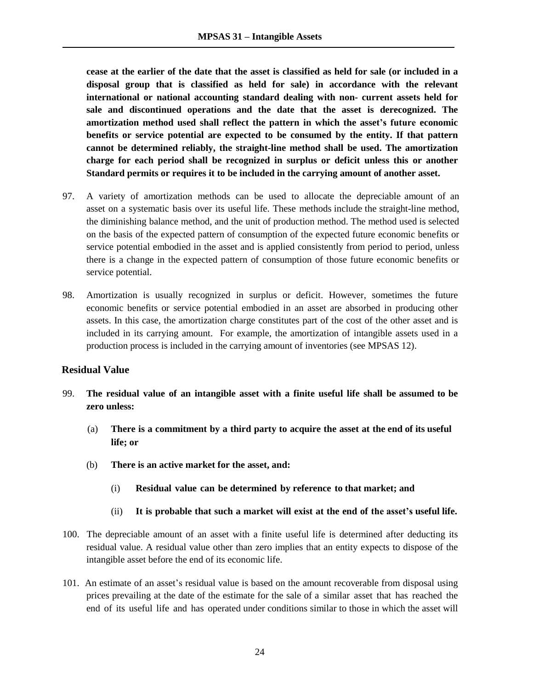**cease at the earlier of the date that the asset is classified as held for sale (or included in a disposal group that is classified as held for sale) in accordance with the relevant international or national accounting standard dealing with non- current assets held for sale and discontinued operations and the date that the asset is derecognized. The amortization method used shall reflect the pattern in which the asset's future economic benefits or service potential are expected to be consumed by the entity. If that pattern cannot be determined reliably, the straight-line method shall be used. The amortization charge for each period shall be recognized in surplus or deficit unless this or another Standard permits or requires it to be included in the carrying amount of another asset.**

- 97. A variety of amortization methods can be used to allocate the depreciable amount of an asset on a systematic basis over its useful life. These methods include the straight-line method, the diminishing balance method, and the unit of production method. The method used is selected on the basis of the expected pattern of consumption of the expected future economic benefits or service potential embodied in the asset and is applied consistently from period to period, unless there is a change in the expected pattern of consumption of those future economic benefits or service potential.
- 98. Amortization is usually recognized in surplus or deficit. However, sometimes the future economic benefits or service potential embodied in an asset are absorbed in producing other assets. In this case, the amortization charge constitutes part of the cost of the other asset and is included in its carrying amount. For example, the amortization of intangible assets used in a production process is included in the carrying amount of inventories (see MPSAS 12).

#### **Residual Value**

- 99. **The residual value of an intangible asset with a finite useful life shall be assumed to be zero unless:**
	- (a) **There is a commitment by a third party to acquire the asset at the end of its useful life; or**
	- (b) **There is an active market for the asset, and:**
		- (i) **Residual value can be determined by reference to that market; and**
		- (ii) **It is probable that such a market will exist at the end of the asset's useful life.**
- 100. The depreciable amount of an asset with a finite useful life is determined after deducting its residual value. A residual value other than zero implies that an entity expects to dispose of the intangible asset before the end of its economic life.
- 101. An estimate of an asset's residual value is based on the amount recoverable from disposal using prices prevailing at the date of the estimate for the sale of a similar asset that has reached the end of its useful life and has operated under conditions similar to those in which the asset will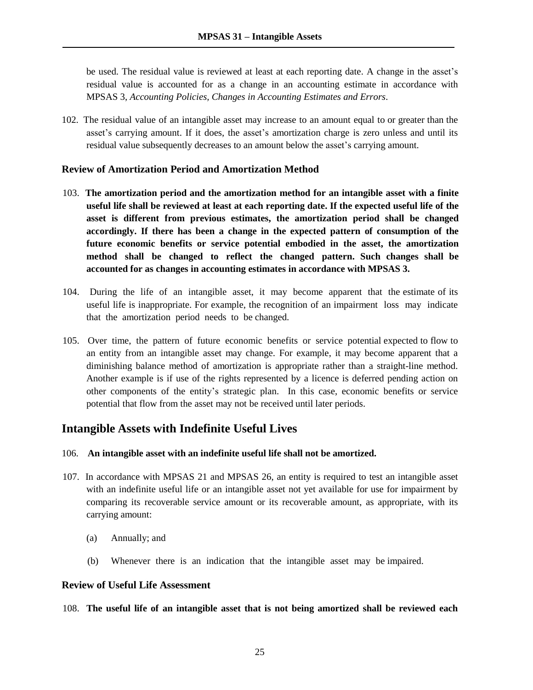be used. The residual value is reviewed at least at each reporting date. A change in the asset's residual value is accounted for as a change in an accounting estimate in accordance with MPSAS 3, *Accounting Policies, Changes in Accounting Estimates and Errors*.

102. The residual value of an intangible asset may increase to an amount equal to or greater than the asset's carrying amount. If it does, the asset's amortization charge is zero unless and until its residual value subsequently decreases to an amount below the asset's carrying amount.

#### **Review of Amortization Period and Amortization Method**

- 103. **The amortization period and the amortization method for an intangible asset with a finite useful life shall be reviewed at least at each reporting date. If the expected useful life of the asset is different from previous estimates, the amortization period shall be changed accordingly. If there has been a change in the expected pattern of consumption of the future economic benefits or service potential embodied in the asset, the amortization method shall be changed to reflect the changed pattern. Such changes shall be accounted for as changes in accounting estimates in accordance with MPSAS 3.**
- 104. During the life of an intangible asset, it may become apparent that the estimate of its useful life is inappropriate. For example, the recognition of an impairment loss may indicate that the amortization period needs to be changed.
- 105. Over time, the pattern of future economic benefits or service potential expected to flow to an entity from an intangible asset may change. For example, it may become apparent that a diminishing balance method of amortization is appropriate rather than a straight-line method. Another example is if use of the rights represented by a licence is deferred pending action on other components of the entity's strategic plan. In this case, economic benefits or service potential that flow from the asset may not be received until later periods.

# **Intangible Assets with Indefinite Useful Lives**

#### 106. **An intangible asset with an indefinite useful life shall not be amortized.**

- 107. In accordance with MPSAS 21 and MPSAS 26, an entity is required to test an intangible asset with an indefinite useful life or an intangible asset not yet available for use for impairment by comparing its recoverable service amount or its recoverable amount, as appropriate, with its carrying amount:
	- (a) Annually; and
	- (b) Whenever there is an indication that the intangible asset may be impaired.

#### **Review of Useful Life Assessment**

#### 108. **The useful life of an intangible asset that is not being amortized shall be reviewed each**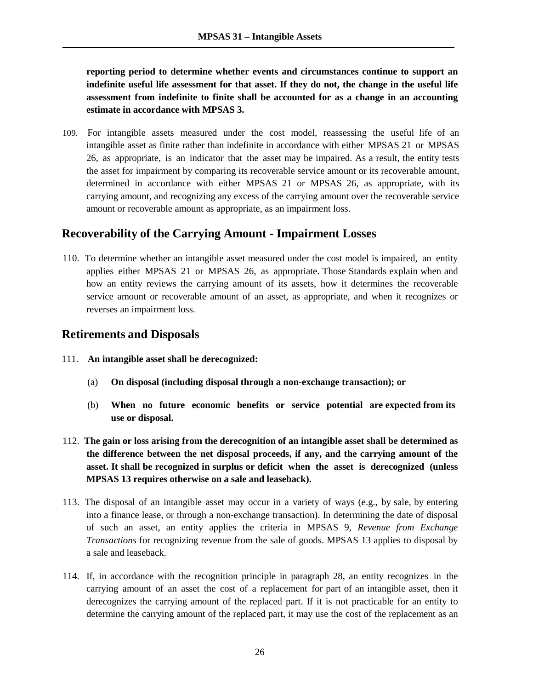**reporting period to determine whether events and circumstances continue to support an indefinite useful life assessment for that asset. If they do not, the change in the useful life assessment from indefinite to finite shall be accounted for as a change in an accounting estimate in accordance with MPSAS 3.**

109. For intangible assets measured under the cost model, reassessing the useful life of an intangible asset as finite rather than indefinite in accordance with either MPSAS 21 or MPSAS 26, as appropriate, is an indicator that the asset may be impaired. As a result, the entity tests the asset for impairment by comparing its recoverable service amount or its recoverable amount, determined in accordance with either MPSAS 21 or MPSAS 26, as appropriate, with its carrying amount, and recognizing any excess of the carrying amount over the recoverable service amount or recoverable amount as appropriate, as an impairment loss.

# **Recoverability of the Carrying Amount - Impairment Losses**

110. To determine whether an intangible asset measured under the cost model is impaired, an entity applies either MPSAS 21 or MPSAS 26, as appropriate. Those Standards explain when and how an entity reviews the carrying amount of its assets, how it determines the recoverable service amount or recoverable amount of an asset, as appropriate, and when it recognizes or reverses an impairment loss.

# **Retirements and Disposals**

- 111. **An intangible asset shall be derecognized:**
	- (a) **On disposal (including disposal through a non-exchange transaction); or**
	- (b) **When no future economic benefits or service potential are expected from its use or disposal.**
- 112. **The gain or loss arising from the derecognition of an intangible asset shall be determined as the difference between the net disposal proceeds, if any, and the carrying amount of the asset. It shall be recognized in surplus or deficit when the asset is derecognized (unless MPSAS 13 requires otherwise on a sale and leaseback).**
- 113. The disposal of an intangible asset may occur in a variety of ways (e.g., by sale, by entering into a finance lease, or through a non-exchange transaction). In determining the date of disposal of such an asset, an entity applies the criteria in MPSAS 9, *Revenue from Exchange Transactions* for recognizing revenue from the sale of goods. MPSAS 13 applies to disposal by a sale and leaseback.
- 114. If, in accordance with the recognition principle in paragraph 28, an entity recognizes in the carrying amount of an asset the cost of a replacement for part of an intangible asset, then it derecognizes the carrying amount of the replaced part. If it is not practicable for an entity to determine the carrying amount of the replaced part, it may use the cost of the replacement as an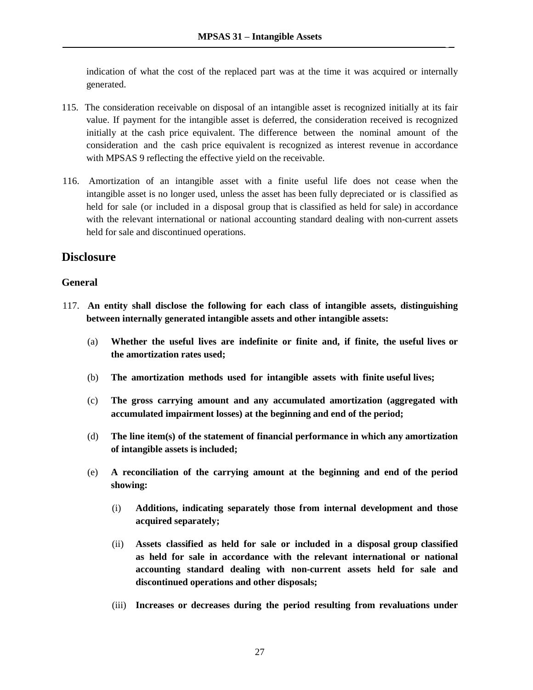ally<br>I indication of what the cost of the replaced part was at the time it was acquired or internally generated.

CTOR

- 115. The consideration receivable on disposal of an intangible asset is recognized initially at its fair value. If payment for the intangible asset is deferred, the consideration received is recognized initially at the cash price equivalent. The difference between the nominal amount of the consideration and the cash price equivalent is recognized as interest revenue in accordance with MPSAS 9 reflecting the effective yield on the receivable.
- 116. Amortization of an intangible asset with a finite useful life does not cease when the intangible asset is no longer used, unless the asset has been fully depreciated or is classified as held for sale (or included in a disposal group that is classified as held for sale) in accordance with the relevant international or national accounting standard dealing with non-current assets held for sale and discontinued operations.

## **Disclosure**

#### **General**

- 117. **An entity shall disclose the following for each class of intangible assets, distinguishing between internally generated intangible assets and other intangible assets:**
	- (a) **Whether the useful lives are indefinite or finite and, if finite, the useful lives or the amortization rates used;**
	- (b) **The amortization methods used for intangible assets with finite useful lives;**
	- (c) **The gross carrying amount and any accumulated amortization (aggregated with accumulated impairment losses) at the beginning and end of the period;**
	- (d) **The line item(s) of the statement of financial performance in which any amortization of intangible assets is included;**
	- (e) **A reconciliation of the carrying amount at the beginning and end of the period showing:**
		- (i) **Additions, indicating separately those from internal development and those acquired separately;**
		- (ii) **Assets classified as held for sale or included in a disposal group classified as held for sale in accordance with the relevant international or national accounting standard dealing with non-current assets held for sale and discontinued operations and other disposals;**
		- (iii) **Increases or decreases during the period resulting from revaluations under**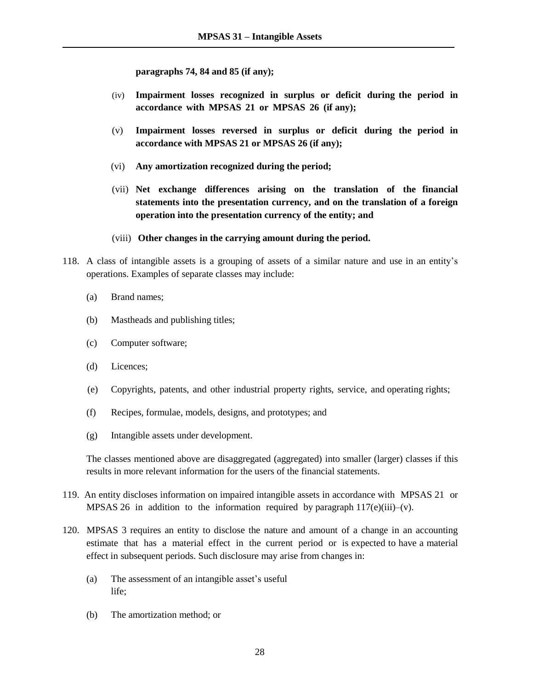**paragraphs 74, 84 and 85 (if any);**

- (iv) **Impairment losses recognized in surplus or deficit during the period in accordance with MPSAS 21 or MPSAS 26 (if any);**
- (v) **Impairment losses reversed in surplus or deficit during the period in accordance with MPSAS 21 or MPSAS 26 (if any);**
- (vi) **Any amortization recognized during the period;**
- (vii) **Net exchange differences arising on the translation of the financial statements into the presentation currency, and on the translation of a foreign operation into the presentation currency of the entity; and**
- (viii) **Other changes in the carrying amount during the period.**
- 118. A class of intangible assets is a grouping of assets of a similar nature and use in an entity's operations. Examples of separate classes may include:
	- (a) Brand names;
	- (b) Mastheads and publishing titles;
	- (c) Computer software;
	- (d) Licences;
	- (e) Copyrights, patents, and other industrial property rights, service, and operating rights;
	- (f) Recipes, formulae, models, designs, and prototypes; and
	- (g) Intangible assets under development.

The classes mentioned above are disaggregated (aggregated) into smaller (larger) classes if this results in more relevant information for the users of the financial statements.

- 119. An entity discloses information on impaired intangible assets in accordance with MPSAS 21 or MPSAS 26 in addition to the information required by paragraph  $117(e)(iii)-(v)$ .
- 120. MPSAS 3 requires an entity to disclose the nature and amount of a change in an accounting estimate that has a material effect in the current period or is expected to have a material effect in subsequent periods. Such disclosure may arise from changes in:
	- (a) The assessment of an intangible asset's useful life;
	- (b) The amortization method; or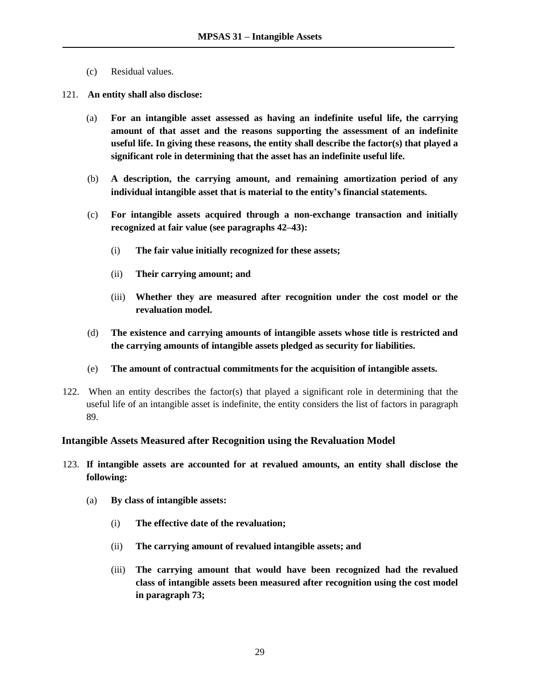- (c) Residual values.
- 121. **An entity shall also disclose:**
	- (a) **For an intangible asset assessed as having an indefinite useful life, the carrying amount of that asset and the reasons supporting the assessment of an indefinite useful life. In giving these reasons, the entity shall describe the factor(s) that played a significant role in determining that the asset has an indefinite useful life.**
	- (b) **A description, the carrying amount, and remaining amortization period of any individual intangible asset that is material to the entity's financial statements.**
	- (c) **For intangible assets acquired through a non-exchange transaction and initially recognized at fair value (see paragraphs 42–43):**
		- (i) **The fair value initially recognized for these assets;**
		- (ii) **Their carrying amount; and**
		- (iii) **Whether they are measured after recognition under the cost model or the revaluation model.**
	- (d) **The existence and carrying amounts of intangible assets whose title is restricted and the carrying amounts of intangible assets pledged as security for liabilities.**
	- (e) **The amount of contractual commitments for the acquisition of intangible assets.**
- 122. When an entity describes the factor(s) that played a significant role in determining that the useful life of an intangible asset is indefinite, the entity considers the list of factors in paragraph 89.

#### **Intangible Assets Measured after Recognition using the Revaluation Model**

- 123. **If intangible assets are accounted for at revalued amounts, an entity shall disclose the following:**
	- (a) **By class of intangible assets:**
		- (i) **The effective date of the revaluation;**
		- (ii) **The carrying amount of revalued intangible assets; and**
		- (iii) **The carrying amount that would have been recognized had the revalued class of intangible assets been measured after recognition using the cost model in paragraph 73;**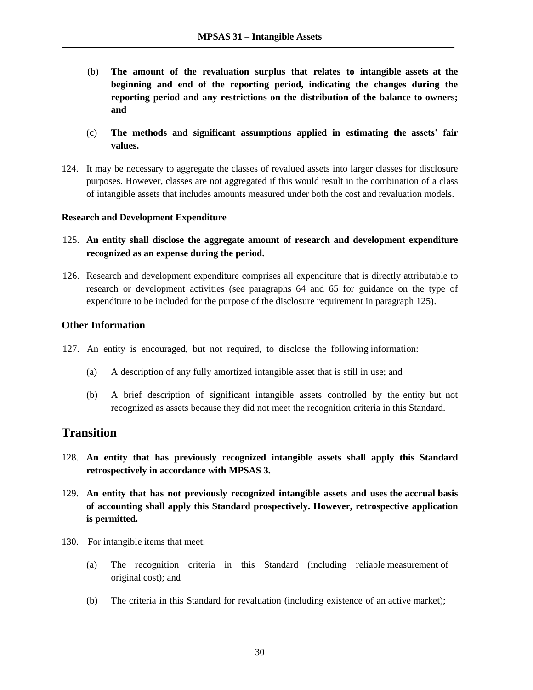- (b) **The amount of the revaluation surplus that relates to intangible assets at the beginning and end of the reporting period, indicating the changes during the reporting period and any restrictions on the distribution of the balance to owners; and**
- (c) **The methods and significant assumptions applied in estimating the assets' fair values.**
- 124. It may be necessary to aggregate the classes of revalued assets into larger classes for disclosure purposes. However, classes are not aggregated if this would result in the combination of a class of intangible assets that includes amounts measured under both the cost and revaluation models.

#### **Research and Development Expenditure**

- 125. **An entity shall disclose the aggregate amount of research and development expenditure recognized as an expense during the period.**
- 126. Research and development expenditure comprises all expenditure that is directly attributable to research or development activities (see paragraphs 64 and 65 for guidance on the type of expenditure to be included for the purpose of the disclosure requirement in paragraph 125).

#### **Other Information**

- 127. An entity is encouraged, but not required, to disclose the following information:
	- (a) A description of any fully amortized intangible asset that is still in use; and
	- (b) A brief description of significant intangible assets controlled by the entity but not recognized as assets because they did not meet the recognition criteria in this Standard.

# **Transition**

- 128. **An entity that has previously recognized intangible assets shall apply this Standard retrospectively in accordance with MPSAS 3.**
- 129. **An entity that has not previously recognized intangible assets and uses the accrual basis of accounting shall apply this Standard prospectively. However, retrospective application is permitted.**
- 130. For intangible items that meet:
	- (a) The recognition criteria in this Standard (including reliable measurement of original cost); and
	- (b) The criteria in this Standard for revaluation (including existence of an active market);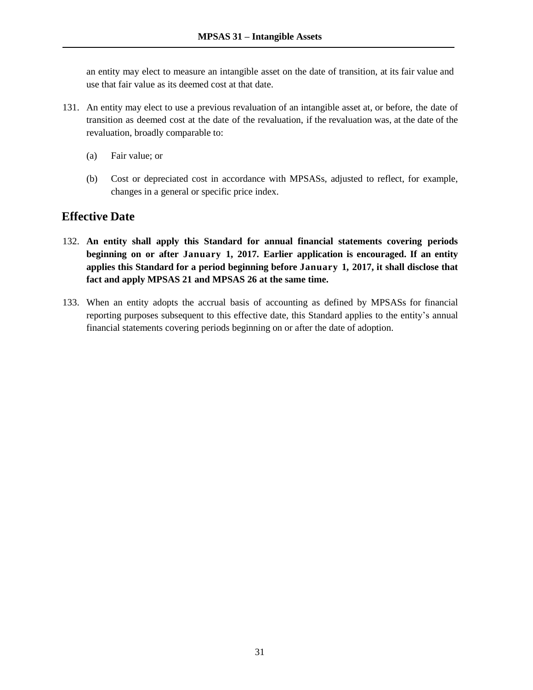an entity may elect to measure an intangible asset on the date of transition, at its fair value and use that fair value as its deemed cost at that date.

- 131. An entity may elect to use a previous revaluation of an intangible asset at, or before, the date of transition as deemed cost at the date of the revaluation, if the revaluation was, at the date of the revaluation, broadly comparable to:
	- (a) Fair value; or
	- (b) Cost or depreciated cost in accordance with MPSASs, adjusted to reflect, for example, changes in a general or specific price index.

# **Effective Date**

- 132. **An entity shall apply this Standard for annual financial statements covering periods beginning on or after January 1, 2017. Earlier application is encouraged. If an entity applies this Standard for a period beginning before January 1, 2017, it shall disclose that fact and apply MPSAS 21 and MPSAS 26 at the same time.**
- 133. When an entity adopts the accrual basis of accounting as defined by MPSASs for financial reporting purposes subsequent to this effective date, this Standard applies to the entity's annual financial statements covering periods beginning on or after the date of adoption.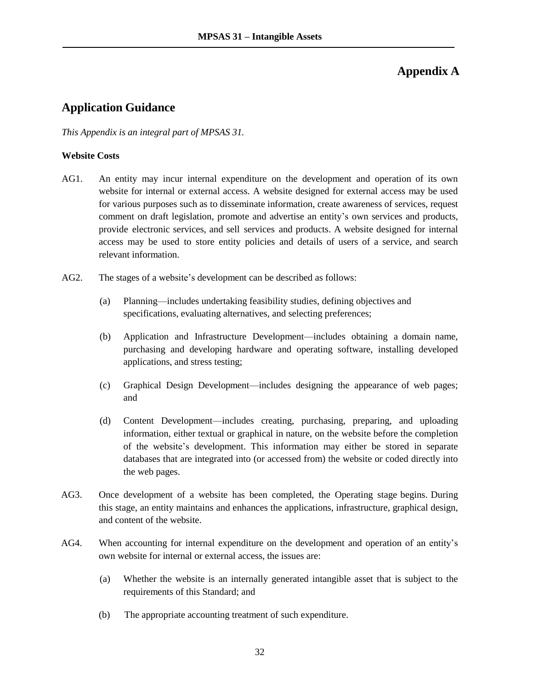# **Appendix A**

# **Application Guidance**

*This Appendix is an integral part of MPSAS 31.*

#### **Website Costs**

- AG1. An entity may incur internal expenditure on the development and operation of its own website for internal or external access. A website designed for external access may be used for various purposes such as to disseminate information, create awareness of services, request comment on draft legislation, promote and advertise an entity's own services and products, provide electronic services, and sell services and products. A website designed for internal access may be used to store entity policies and details of users of a service, and search relevant information.
- AG2. The stages of a website's development can be described as follows:
	- (a) Planning—includes undertaking feasibility studies, defining objectives and specifications, evaluating alternatives, and selecting preferences;
	- (b) Application and Infrastructure Development—includes obtaining a domain name, purchasing and developing hardware and operating software, installing developed applications, and stress testing;
	- (c) Graphical Design Development—includes designing the appearance of web pages; and
	- (d) Content Development—includes creating, purchasing, preparing, and uploading information, either textual or graphical in nature, on the website before the completion of the website's development. This information may either be stored in separate databases that are integrated into (or accessed from) the website or coded directly into the web pages.
- AG3. Once development of a website has been completed, the Operating stage begins. During this stage, an entity maintains and enhances the applications, infrastructure, graphical design, and content of the website.
- AG4. When accounting for internal expenditure on the development and operation of an entity's own website for internal or external access, the issues are:
	- (a) Whether the website is an internally generated intangible asset that is subject to the requirements of this Standard; and
	- (b) The appropriate accounting treatment of such expenditure.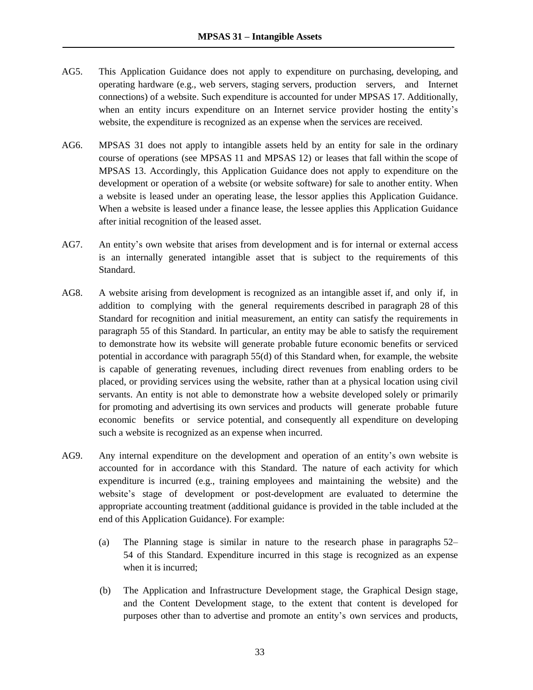- AG5. This Application Guidance does not apply to expenditure on purchasing, developing, and operating hardware (e.g., web servers, staging servers, production servers, and Internet connections) of a website. Such expenditure is accounted for under MPSAS 17. Additionally, when an entity incurs expenditure on an Internet service provider hosting the entity's website, the expenditure is recognized as an expense when the services are received.
- AG6. MPSAS 31 does not apply to intangible assets held by an entity for sale in the ordinary course of operations (see MPSAS 11 and MPSAS 12) or leases that fall within the scope of MPSAS 13. Accordingly, this Application Guidance does not apply to expenditure on the development or operation of a website (or website software) for sale to another entity. When a website is leased under an operating lease, the lessor applies this Application Guidance. When a website is leased under a finance lease, the lessee applies this Application Guidance after initial recognition of the leased asset.
- AG7. An entity's own website that arises from development and is for internal or external access is an internally generated intangible asset that is subject to the requirements of this Standard.
- AG8. A website arising from development is recognized as an intangible asset if, and only if, in addition to complying with the general requirements described in paragraph 28 of this Standard for recognition and initial measurement, an entity can satisfy the requirements in paragraph 55 of this Standard. In particular, an entity may be able to satisfy the requirement to demonstrate how its website will generate probable future economic benefits or serviced potential in accordance with paragraph 55(d) of this Standard when, for example, the website is capable of generating revenues, including direct revenues from enabling orders to be placed, or providing services using the website, rather than at a physical location using civil servants. An entity is not able to demonstrate how a website developed solely or primarily for promoting and advertising its own services and products will generate probable future economic benefits or service potential, and consequently all expenditure on developing such a website is recognized as an expense when incurred.
- AG9. Any internal expenditure on the development and operation of an entity's own website is accounted for in accordance with this Standard. The nature of each activity for which expenditure is incurred (e.g., training employees and maintaining the website) and the website's stage of development or post-development are evaluated to determine the appropriate accounting treatment (additional guidance is provided in the table included at the end of this Application Guidance). For example:
	- (a) The Planning stage is similar in nature to the research phase in paragraphs 52– 54 of this Standard. Expenditure incurred in this stage is recognized as an expense when it is incurred;
	- (b) The Application and Infrastructure Development stage, the Graphical Design stage, and the Content Development stage, to the extent that content is developed for purposes other than to advertise and promote an entity's own services and products,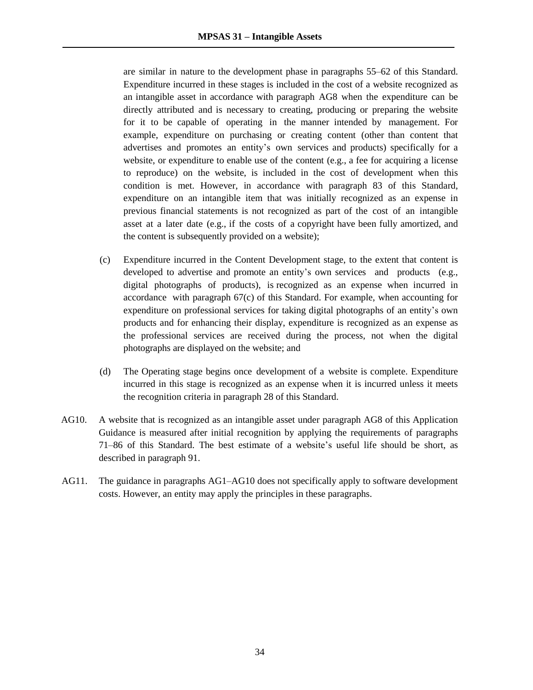are similar in nature to the development phase in paragraphs 55–62 of this Standard. Expenditure incurred in these stages is included in the cost of a website recognized as an intangible asset in accordance with paragraph AG8 when the expenditure can be directly attributed and is necessary to creating, producing or preparing the website for it to be capable of operating in the manner intended by management. For example, expenditure on purchasing or creating content (other than content that advertises and promotes an entity's own services and products) specifically for a website, or expenditure to enable use of the content (e.g., a fee for acquiring a license to reproduce) on the website, is included in the cost of development when this condition is met. However, in accordance with paragraph 83 of this Standard, expenditure on an intangible item that was initially recognized as an expense in previous financial statements is not recognized as part of the cost of an intangible asset at a later date (e.g., if the costs of a copyright have been fully amortized, and the content is subsequently provided on a website);

- (c) Expenditure incurred in the Content Development stage, to the extent that content is developed to advertise and promote an entity's own services and products (e.g., digital photographs of products), is recognized as an expense when incurred in accordance with paragraph 67(c) of this Standard. For example, when accounting for expenditure on professional services for taking digital photographs of an entity's own products and for enhancing their display, expenditure is recognized as an expense as the professional services are received during the process, not when the digital photographs are displayed on the website; and
- (d) The Operating stage begins once development of a website is complete. Expenditure incurred in this stage is recognized as an expense when it is incurred unless it meets the recognition criteria in paragraph 28 of this Standard.
- AG10. A website that is recognized as an intangible asset under paragraph AG8 of this Application Guidance is measured after initial recognition by applying the requirements of paragraphs 71–86 of this Standard. The best estimate of a website's useful life should be short, as described in paragraph 91.
- AG11. The guidance in paragraphs AG1–AG10 does not specifically apply to software development costs. However, an entity may apply the principles in these paragraphs.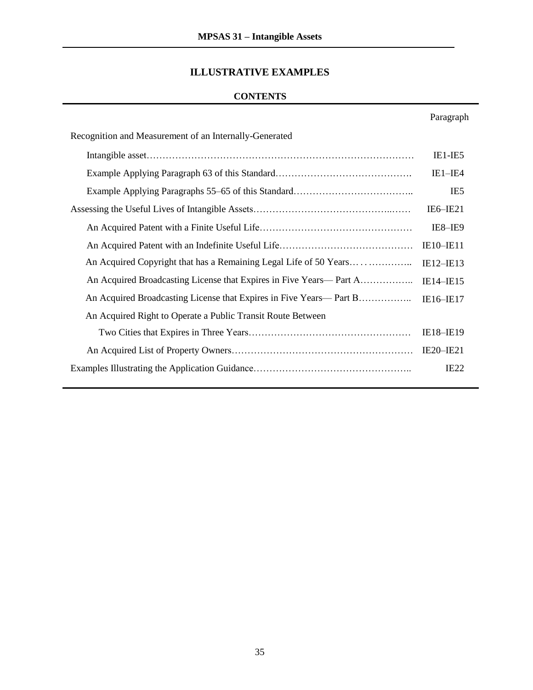# **ILLUSTRATIVE EXAMPLES**

#### **CONTENTS**

|                                                                    | Paragraph        |  |  |  |
|--------------------------------------------------------------------|------------------|--|--|--|
| Recognition and Measurement of an Internally-Generated             |                  |  |  |  |
|                                                                    | $IE1-IE5$        |  |  |  |
|                                                                    | IE1–IE4          |  |  |  |
|                                                                    | IE5              |  |  |  |
|                                                                    | IE6–IE21         |  |  |  |
|                                                                    | IE8-IE9          |  |  |  |
|                                                                    | IE10–IE11        |  |  |  |
|                                                                    | $IE12-E13$       |  |  |  |
|                                                                    | IE14-IE15        |  |  |  |
| An Acquired Broadcasting License that Expires in Five Years—Part B | IE16–IE17        |  |  |  |
| An Acquired Right to Operate a Public Transit Route Between        |                  |  |  |  |
|                                                                    | IE18-IE19        |  |  |  |
|                                                                    | IE20–IE21        |  |  |  |
|                                                                    | IE <sub>22</sub> |  |  |  |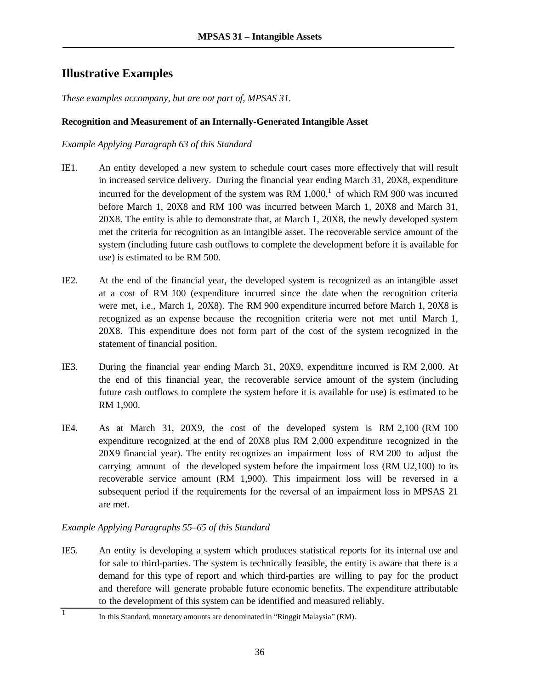# **Illustrative Examples**

*These examples accompany, but are not part of, MPSAS 31.*

#### **Recognition and Measurement of an Internally-Generated Intangible Asset**

#### *Example Applying Paragraph 63 of this Standard*

- IE1. An entity developed a new system to schedule court cases more effectively that will result in increased service delivery. During the financial year ending March 31, 20X8, expenditure incurred for the development of the system was RM  $1,000$ ,<sup>1</sup> of which RM 900 was incurred before March 1, 20X8 and RM 100 was incurred between March 1, 20X8 and March 31, 20X8. The entity is able to demonstrate that, at March 1, 20X8, the newly developed system met the criteria for recognition as an intangible asset. The recoverable service amount of the system (including future cash outflows to complete the development before it is available for use) is estimated to be RM 500.
- IE2. At the end of the financial year, the developed system is recognized as an intangible asset at a cost of RM 100 (expenditure incurred since the date when the recognition criteria were met, i.e., March 1, 20X8). The RM 900 expenditure incurred before March 1, 20X8 is recognized as an expense because the recognition criteria were not met until March 1, 20X8. This expenditure does not form part of the cost of the system recognized in the statement of financial position.
- IE3. During the financial year ending March 31, 20X9, expenditure incurred is RM 2,000. At the end of this financial year, the recoverable service amount of the system (including future cash outflows to complete the system before it is available for use) is estimated to be RM 1,900.
- IE4. As at March 31, 20X9, the cost of the developed system is RM 2,100 (RM 100 expenditure recognized at the end of 20X8 plus RM 2,000 expenditure recognized in the 20X9 financial year). The entity recognizes an impairment loss of RM 200 to adjust the carrying amount of the developed system before the impairment loss (RM U2,100) to its recoverable service amount (RM 1,900). This impairment loss will be reversed in a subsequent period if the requirements for the reversal of an impairment loss in MPSAS 21 are met.

#### *Example Applying Paragraphs 55–65 of this Standard*

IE5. An entity is developing a system which produces statistical reports for its internal use and for sale to third-parties. The system is technically feasible, the entity is aware that there is a demand for this type of report and which third-parties are willing to pay for the product and therefore will generate probable future economic benefits. The expenditure attributable to the development of this system can be identified and measured reliably.

 $\overline{1}$ 

In this Standard, monetary amounts are denominated in "Ringgit Malaysia" (RM).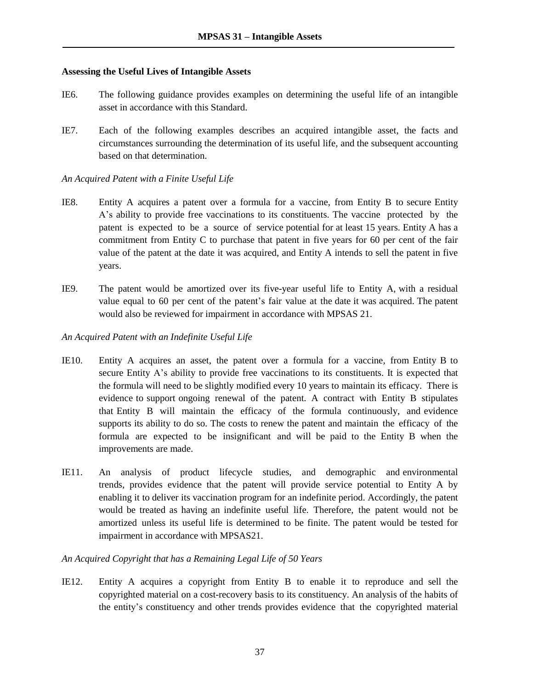#### **Assessing the Useful Lives of Intangible Assets**

- IE6. The following guidance provides examples on determining the useful life of an intangible asset in accordance with this Standard.
- IE7. Each of the following examples describes an acquired intangible asset, the facts and circumstances surrounding the determination of its useful life, and the subsequent accounting based on that determination.

#### *An Acquired Patent with a Finite Useful Life*

- IE8. Entity A acquires a patent over a formula for a vaccine, from Entity B to secure Entity A's ability to provide free vaccinations to its constituents. The vaccine protected by the patent is expected to be a source of service potential for at least 15 years. Entity A has a commitment from Entity C to purchase that patent in five years for 60 per cent of the fair value of the patent at the date it was acquired, and Entity A intends to sell the patent in five years.
- IE9. The patent would be amortized over its five-year useful life to Entity A, with a residual value equal to 60 per cent of the patent's fair value at the date it was acquired. The patent would also be reviewed for impairment in accordance with MPSAS 21.

#### *An Acquired Patent with an Indefinite Useful Life*

- IE10. Entity A acquires an asset, the patent over a formula for a vaccine, from Entity B to secure Entity A's ability to provide free vaccinations to its constituents. It is expected that the formula will need to be slightly modified every 10 years to maintain its efficacy. There is evidence to support ongoing renewal of the patent. A contract with Entity B stipulates that Entity B will maintain the efficacy of the formula continuously, and evidence supports its ability to do so. The costs to renew the patent and maintain the efficacy of the formula are expected to be insignificant and will be paid to the Entity B when the improvements are made.
- IE11. An analysis of product lifecycle studies, and demographic and environmental trends, provides evidence that the patent will provide service potential to Entity A by enabling it to deliver its vaccination program for an indefinite period. Accordingly, the patent would be treated as having an indefinite useful life. Therefore, the patent would not be amortized unless its useful life is determined to be finite. The patent would be tested for impairment in accordance with MPSAS21.

#### *An Acquired Copyright that has a Remaining Legal Life of 50 Years*

IE12. Entity A acquires a copyright from Entity B to enable it to reproduce and sell the copyrighted material on a cost-recovery basis to its constituency. An analysis of the habits of the entity's constituency and other trends provides evidence that the copyrighted material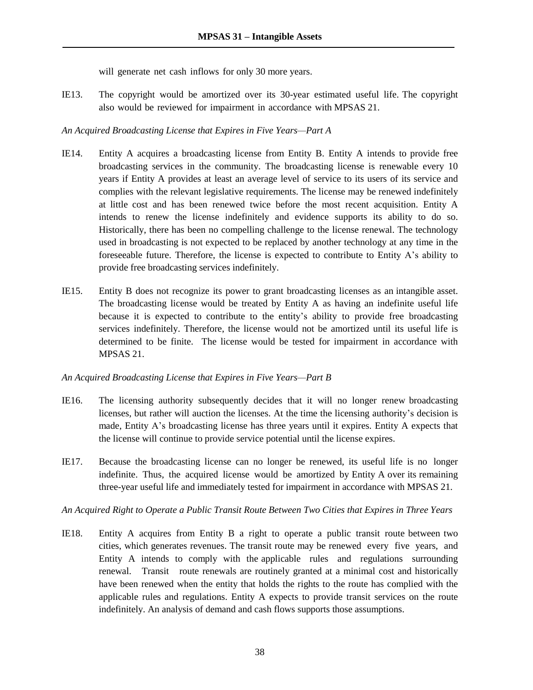will generate net cash inflows for only 30 more years.

IE13. The copyright would be amortized over its 30-year estimated useful life. The copyright also would be reviewed for impairment in accordance with MPSAS 21.

#### *An Acquired Broadcasting License that Expires in Five Years—Part A*

- IE14. Entity A acquires a broadcasting license from Entity B. Entity A intends to provide free broadcasting services in the community. The broadcasting license is renewable every 10 years if Entity A provides at least an average level of service to its users of its service and complies with the relevant legislative requirements. The license may be renewed indefinitely at little cost and has been renewed twice before the most recent acquisition. Entity A intends to renew the license indefinitely and evidence supports its ability to do so. Historically, there has been no compelling challenge to the license renewal. The technology used in broadcasting is not expected to be replaced by another technology at any time in the foreseeable future. Therefore, the license is expected to contribute to Entity A's ability to provide free broadcasting services indefinitely.
- IE15. Entity B does not recognize its power to grant broadcasting licenses as an intangible asset. The broadcasting license would be treated by Entity A as having an indefinite useful life because it is expected to contribute to the entity's ability to provide free broadcasting services indefinitely. Therefore, the license would not be amortized until its useful life is determined to be finite. The license would be tested for impairment in accordance with MPSAS 21.

#### *An Acquired Broadcasting License that Expires in Five Years—Part B*

- IE16. The licensing authority subsequently decides that it will no longer renew broadcasting licenses, but rather will auction the licenses. At the time the licensing authority's decision is made, Entity A's broadcasting license has three years until it expires. Entity A expects that the license will continue to provide service potential until the license expires.
- IE17. Because the broadcasting license can no longer be renewed, its useful life is no longer indefinite. Thus, the acquired license would be amortized by Entity A over its remaining three-year useful life and immediately tested for impairment in accordance with MPSAS 21.

#### *An Acquired Right to Operate a Public Transit Route Between Two Cities that Expires in Three Years*

IE18. Entity A acquires from Entity B a right to operate a public transit route between two cities, which generates revenues. The transit route may be renewed every five years, and Entity A intends to comply with the applicable rules and regulations surrounding renewal. Transit route renewals are routinely granted at a minimal cost and historically have been renewed when the entity that holds the rights to the route has complied with the applicable rules and regulations. Entity A expects to provide transit services on the route indefinitely. An analysis of demand and cash flows supports those assumptions.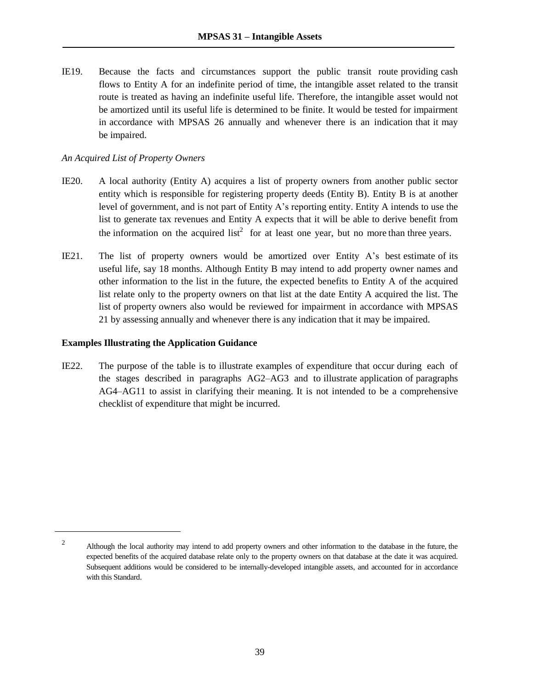IE19. Because the facts and circumstances support the public transit route providing cash flows to Entity A for an indefinite period of time, the intangible asset related to the transit route is treated as having an indefinite useful life. Therefore, the intangible asset would not be amortized until its useful life is determined to be finite. It would be tested for impairment in accordance with MPSAS 26 annually and whenever there is an indication that it may be impaired.

#### *An Acquired List of Property Owners*

- IE20. A local authority (Entity A) acquires a list of property owners from another public sector entity which is responsible for registering property deeds (Entity B). Entity B is at another level of government, and is not part of Entity A's reporting entity. Entity A intends to use the list to generate tax revenues and Entity A expects that it will be able to derive benefit from the information on the acquired list<sup>2</sup> for at least one year, but no more than three years.
- IE21. The list of property owners would be amortized over Entity A's best estimate of its useful life, say 18 months. Although Entity B may intend to add property owner names and other information to the list in the future, the expected benefits to Entity A of the acquired list relate only to the property owners on that list at the date Entity A acquired the list. The list of property owners also would be reviewed for impairment in accordance with MPSAS 21 by assessing annually and whenever there is any indication that it may be impaired.

#### **Examples Illustrating the Application Guidance**

IE22. The purpose of the table is to illustrate examples of expenditure that occur during each of the stages described in paragraphs AG2–AG3 and to illustrate application of paragraphs AG4–AG11 to assist in clarifying their meaning. It is not intended to be a comprehensive checklist of expenditure that might be incurred.

<sup>&</sup>lt;sup>2</sup> Although the local authority may intend to add property owners and other information to the database in the future, the expected benefits of the acquired database relate only to the property owners on that database at the date it was acquired. Subsequent additions would be considered to be internally-developed intangible assets, and accounted for in accordance with this Standard.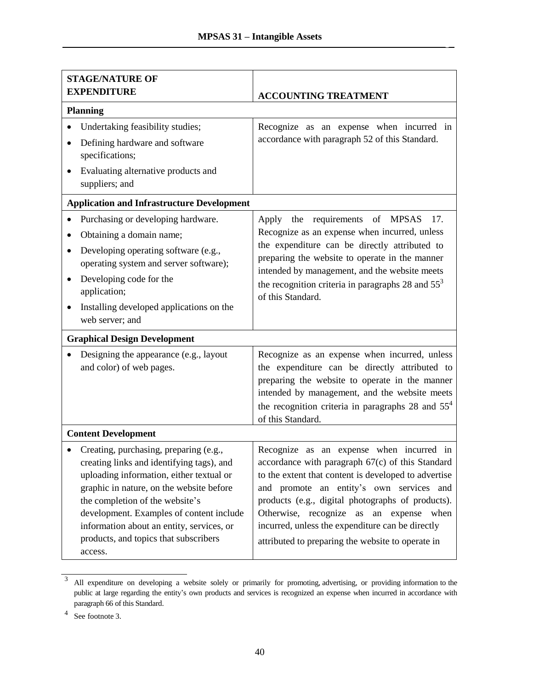CTOR

| <b>STAGE/NATURE OF</b><br><b>EXPENDITURE</b>      |                                                                                                                                                                                                                                                                                                                                                             | <b>ACCOUNTING TREATMENT</b>                                                                                                                                                                                                                                                                                                                                                                                    |  |  |
|---------------------------------------------------|-------------------------------------------------------------------------------------------------------------------------------------------------------------------------------------------------------------------------------------------------------------------------------------------------------------------------------------------------------------|----------------------------------------------------------------------------------------------------------------------------------------------------------------------------------------------------------------------------------------------------------------------------------------------------------------------------------------------------------------------------------------------------------------|--|--|
|                                                   | <b>Planning</b>                                                                                                                                                                                                                                                                                                                                             |                                                                                                                                                                                                                                                                                                                                                                                                                |  |  |
|                                                   | Undertaking feasibility studies;<br>Defining hardware and software<br>specifications;<br>Evaluating alternative products and<br>suppliers; and                                                                                                                                                                                                              | Recognize as an expense when incurred in<br>accordance with paragraph 52 of this Standard.                                                                                                                                                                                                                                                                                                                     |  |  |
| <b>Application and Infrastructure Development</b> |                                                                                                                                                                                                                                                                                                                                                             |                                                                                                                                                                                                                                                                                                                                                                                                                |  |  |
| $\bullet$<br>$\bullet$<br>٠                       | Purchasing or developing hardware.<br>Obtaining a domain name;<br>Developing operating software (e.g.,<br>operating system and server software);<br>Developing code for the<br>application;<br>Installing developed applications on the<br>web server; and                                                                                                  | Apply the requirements of MPSAS<br>17.<br>Recognize as an expense when incurred, unless<br>the expenditure can be directly attributed to<br>preparing the website to operate in the manner<br>intended by management, and the website meets<br>the recognition criteria in paragraphs 28 and $553$<br>of this Standard.                                                                                        |  |  |
|                                                   | <b>Graphical Design Development</b>                                                                                                                                                                                                                                                                                                                         |                                                                                                                                                                                                                                                                                                                                                                                                                |  |  |
|                                                   | Designing the appearance (e.g., layout<br>and color) of web pages.                                                                                                                                                                                                                                                                                          | Recognize as an expense when incurred, unless<br>the expenditure can be directly attributed to<br>preparing the website to operate in the manner<br>intended by management, and the website meets<br>the recognition criteria in paragraphs 28 and $554$<br>of this Standard.                                                                                                                                  |  |  |
| <b>Content Development</b>                        |                                                                                                                                                                                                                                                                                                                                                             |                                                                                                                                                                                                                                                                                                                                                                                                                |  |  |
|                                                   | Creating, purchasing, preparing (e.g.,<br>creating links and identifying tags), and<br>uploading information, either textual or<br>graphic in nature, on the website before<br>the completion of the website's<br>development. Examples of content include<br>information about an entity, services, or<br>products, and topics that subscribers<br>access. | Recognize as an expense when incurred in<br>accordance with paragraph $67(c)$ of this Standard<br>to the extent that content is developed to advertise<br>and promote an entity's own services and<br>products (e.g., digital photographs of products).<br>Otherwise, recognize as<br>an expense when<br>incurred, unless the expenditure can be directly<br>attributed to preparing the website to operate in |  |  |

 $\overline{3}$  All expenditure on developing a website solely or primarily for promoting, advertising, or providing information to the public at large regarding the entity's own products and services is recognized an expense when incurred in accordance with paragraph 66 of this Standard.

4 See footnote 3.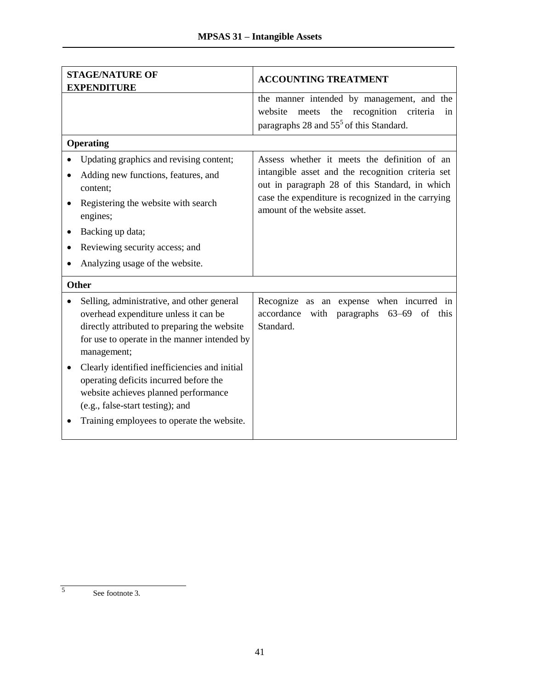| <b>STAGE/NATURE OF</b>                                                                                                                                                                                                                                                                                                                                                                                                  | <b>ACCOUNTING TREATMENT</b>                                                                                                                                                                                                               |  |  |  |
|-------------------------------------------------------------------------------------------------------------------------------------------------------------------------------------------------------------------------------------------------------------------------------------------------------------------------------------------------------------------------------------------------------------------------|-------------------------------------------------------------------------------------------------------------------------------------------------------------------------------------------------------------------------------------------|--|--|--|
| <b>EXPENDITURE</b>                                                                                                                                                                                                                                                                                                                                                                                                      | the manner intended by management, and the<br>the recognition criteria<br>website<br>meets<br>in<br>paragraphs 28 and 55 <sup>5</sup> of this Standard.                                                                                   |  |  |  |
| <b>Operating</b>                                                                                                                                                                                                                                                                                                                                                                                                        |                                                                                                                                                                                                                                           |  |  |  |
| Updating graphics and revising content;<br>Adding new functions, features, and<br>$\bullet$<br>content;<br>Registering the website with search<br>٠<br>engines;<br>Backing up data;<br>Reviewing security access; and<br>Analyzing usage of the website.                                                                                                                                                                | Assess whether it meets the definition of an<br>intangible asset and the recognition criteria set<br>out in paragraph 28 of this Standard, in which<br>case the expenditure is recognized in the carrying<br>amount of the website asset. |  |  |  |
| <b>Other</b>                                                                                                                                                                                                                                                                                                                                                                                                            |                                                                                                                                                                                                                                           |  |  |  |
| Selling, administrative, and other general<br>overhead expenditure unless it can be<br>directly attributed to preparing the website<br>for use to operate in the manner intended by<br>management;<br>Clearly identified inefficiencies and initial<br>operating deficits incurred before the<br>website achieves planned performance<br>(e.g., false-start testing); and<br>Training employees to operate the website. | Recognize as an expense when incurred in<br>accordance with<br>paragraphs<br>$63 - 69$ of<br>this<br>Standard.                                                                                                                            |  |  |  |
|                                                                                                                                                                                                                                                                                                                                                                                                                         |                                                                                                                                                                                                                                           |  |  |  |

<sup>5</sup>

See footnote 3.